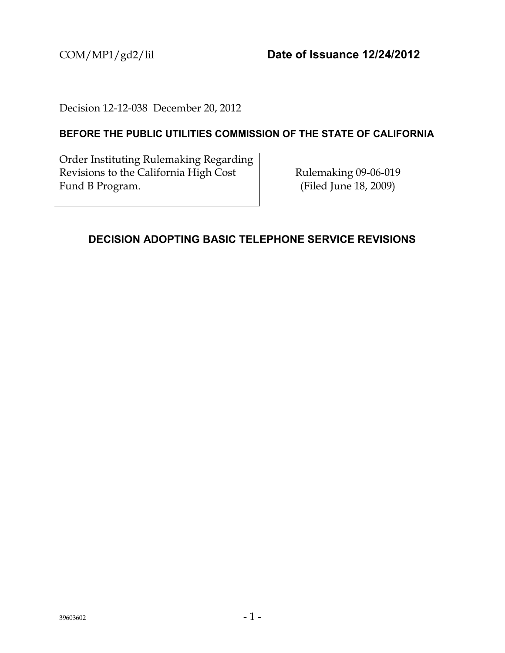COM/MP1/gd2/lil **Date of Issuance 12/24/2012**

Decision 12-12-038 December 20, 2012

## **BEFORE THE PUBLIC UTILITIES COMMISSION OF THE STATE OF CALIFORNIA**

Order Instituting Rulemaking Regarding Revisions to the California High Cost Fund B Program.

Rulemaking 09-06-019 (Filed June 18, 2009)

## <span id="page-0-0"></span>**DECISION ADOPTING BASIC TELEPHONE SERVICE REVISIONS**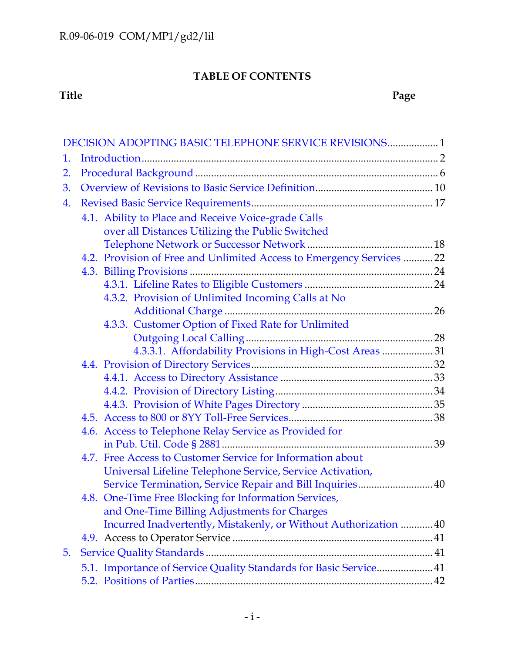# **TABLE OF CONTENTS**

### **Title Page**

|                                                     | DECISION ADOPTING BASIC TELEPHONE SERVICE REVISIONS 1                                                            |  |  |  |  |
|-----------------------------------------------------|------------------------------------------------------------------------------------------------------------------|--|--|--|--|
| 1.                                                  |                                                                                                                  |  |  |  |  |
| 2.                                                  |                                                                                                                  |  |  |  |  |
| 3.                                                  |                                                                                                                  |  |  |  |  |
| 4.                                                  |                                                                                                                  |  |  |  |  |
| 4.1. Ability to Place and Receive Voice-grade Calls |                                                                                                                  |  |  |  |  |
|                                                     | over all Distances Utilizing the Public Switched                                                                 |  |  |  |  |
|                                                     |                                                                                                                  |  |  |  |  |
|                                                     | 4.2. Provision of Free and Unlimited Access to Emergency Services  22                                            |  |  |  |  |
|                                                     |                                                                                                                  |  |  |  |  |
|                                                     |                                                                                                                  |  |  |  |  |
|                                                     | 4.3.2. Provision of Unlimited Incoming Calls at No                                                               |  |  |  |  |
|                                                     |                                                                                                                  |  |  |  |  |
|                                                     | 4.3.3. Customer Option of Fixed Rate for Unlimited                                                               |  |  |  |  |
|                                                     |                                                                                                                  |  |  |  |  |
|                                                     | 4.3.3.1. Affordability Provisions in High-Cost Areas  31                                                         |  |  |  |  |
|                                                     |                                                                                                                  |  |  |  |  |
|                                                     |                                                                                                                  |  |  |  |  |
|                                                     |                                                                                                                  |  |  |  |  |
|                                                     |                                                                                                                  |  |  |  |  |
|                                                     |                                                                                                                  |  |  |  |  |
|                                                     | 4.6. Access to Telephone Relay Service as Provided for                                                           |  |  |  |  |
|                                                     |                                                                                                                  |  |  |  |  |
|                                                     | 4.7. Free Access to Customer Service for Information about                                                       |  |  |  |  |
|                                                     | Universal Lifeline Telephone Service, Service Activation,                                                        |  |  |  |  |
|                                                     | Service Termination, Service Repair and Bill Inquiries 40                                                        |  |  |  |  |
|                                                     | 4.8. One-Time Free Blocking for Information Services,                                                            |  |  |  |  |
|                                                     | and One-Time Billing Adjustments for Charges<br>Incurred Inadvertently, Mistakenly, or Without Authorization  40 |  |  |  |  |
|                                                     |                                                                                                                  |  |  |  |  |
|                                                     |                                                                                                                  |  |  |  |  |
| 5.                                                  |                                                                                                                  |  |  |  |  |
|                                                     | 5.1. Importance of Service Quality Standards for Basic Service 41                                                |  |  |  |  |
|                                                     |                                                                                                                  |  |  |  |  |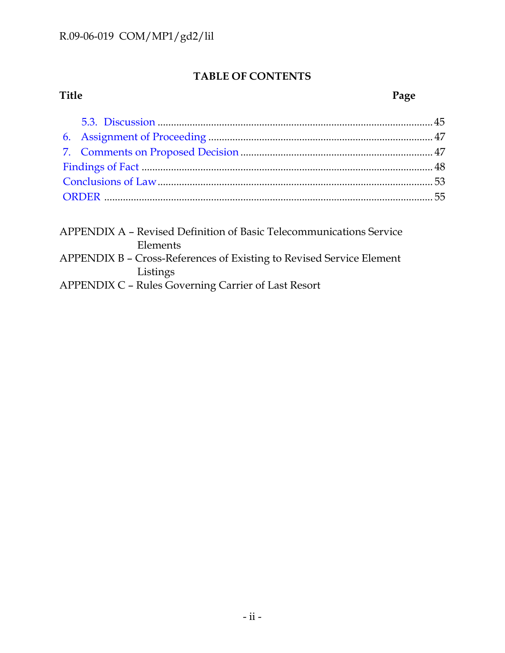# **TABLE OF CONTENTS**

## **Title Page**

| APPENDIX A - Revised Definition of Basic Telecommunications Service  |
|----------------------------------------------------------------------|
| Elements                                                             |
| APPENDIX B – Cross-References of Existing to Revised Service Element |
| Listings                                                             |
| <b>APPENDIX C - Rules Governing Carrier of Last Resort</b>           |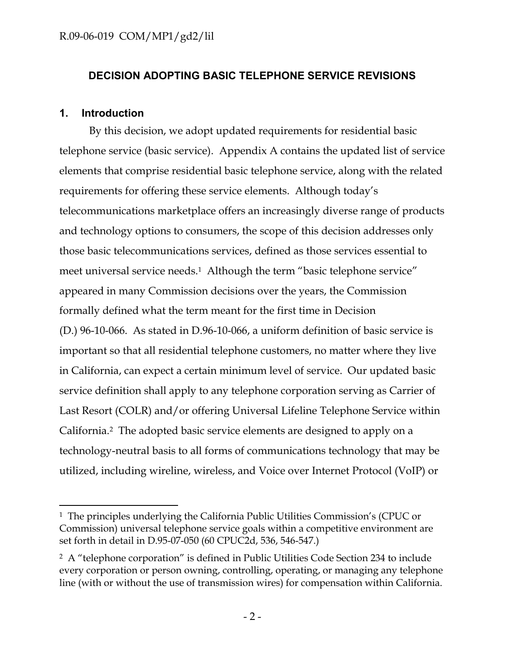# **DECISION ADOPTING BASIC TELEPHONE SERVICE REVISIONS**

## <span id="page-3-0"></span>**1. Introduction**

 $\overline{\phantom{a}}$ 

By this decision, we adopt updated requirements for residential basic telephone service (basic service). Appendix A contains the updated list of service elements that comprise residential basic telephone service, along with the related requirements for offering these service elements. Although today's telecommunications marketplace offers an increasingly diverse range of products and technology options to consumers, the scope of this decision addresses only those basic telecommunications services, defined as those services essential to meet universal service needs.<sup>1</sup> Although the term "basic telephone service" appeared in many Commission decisions over the years, the Commission formally defined what the term meant for the first time in Decision (D.) 96-10-066. As stated in D.96-10-066, a uniform definition of basic service is important so that all residential telephone customers, no matter where they live in California, can expect a certain minimum level of service. Our updated basic service definition shall apply to any telephone corporation serving as Carrier of Last Resort (COLR) and/or offering Universal Lifeline Telephone Service within California.2 The adopted basic service elements are designed to apply on a technology-neutral basis to all forms of communications technology that may be utilized, including wireline, wireless, and Voice over Internet Protocol (VoIP) or

<sup>&</sup>lt;sup>1</sup> The principles underlying the California Public Utilities Commission's (CPUC or Commission) universal telephone service goals within a competitive environment are set forth in detail in D.95-07-050 (60 CPUC2d, 536, 546-547.)

<sup>2</sup> A "telephone corporation" is defined in Public Utilities Code Section 234 to include every corporation or person owning, controlling, operating, or managing any telephone line (with or without the use of transmission wires) for compensation within California.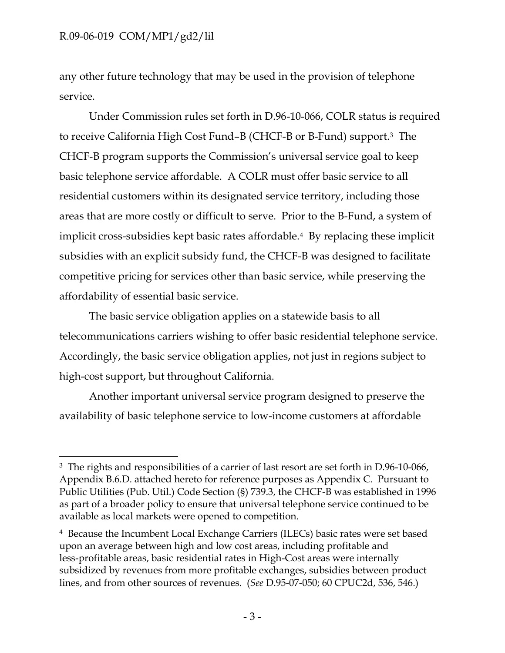$\overline{\phantom{a}}$ 

any other future technology that may be used in the provision of telephone service.

Under Commission rules set forth in D.96-10-066, COLR status is required to receive California High Cost Fund–B (CHCF-B or B-Fund) support.3 The CHCF-B program supports the Commission's universal service goal to keep basic telephone service affordable. A COLR must offer basic service to all residential customers within its designated service territory, including those areas that are more costly or difficult to serve. Prior to the B-Fund, a system of implicit cross-subsidies kept basic rates affordable.4 By replacing these implicit subsidies with an explicit subsidy fund, the CHCF-B was designed to facilitate competitive pricing for services other than basic service, while preserving the affordability of essential basic service.

The basic service obligation applies on a statewide basis to all telecommunications carriers wishing to offer basic residential telephone service. Accordingly, the basic service obligation applies, not just in regions subject to high-cost support, but throughout California.

Another important universal service program designed to preserve the availability of basic telephone service to low-income customers at affordable

<sup>&</sup>lt;sup>3</sup> The rights and responsibilities of a carrier of last resort are set forth in D.96-10-066, Appendix B.6.D. attached hereto for reference purposes as Appendix C. Pursuant to Public Utilities (Pub. Util.) Code Section (§) 739.3, the CHCF-B was established in 1996 as part of a broader policy to ensure that universal telephone service continued to be available as local markets were opened to competition.

<sup>4</sup> Because the Incumbent Local Exchange Carriers (ILECs) basic rates were set based upon an average between high and low cost areas, including profitable and less-profitable areas, basic residential rates in High-Cost areas were internally subsidized by revenues from more profitable exchanges, subsidies between product lines, and from other sources of revenues. (*See* D.95-07-050; 60 CPUC2d, 536, 546.)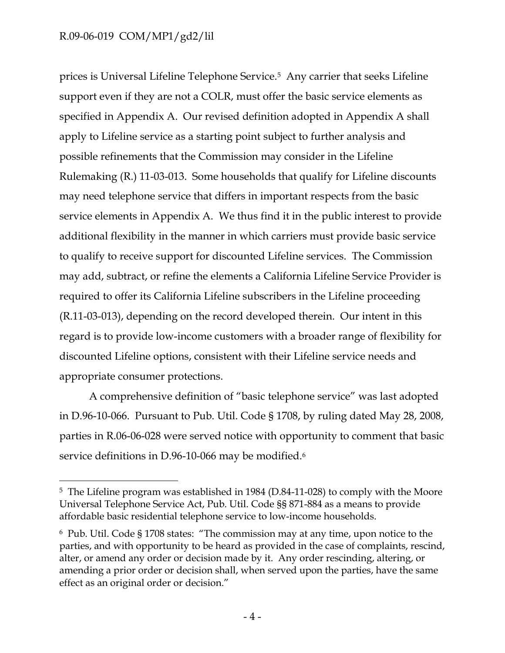$\overline{a}$ 

prices is Universal Lifeline Telephone Service.5 Any carrier that seeks Lifeline support even if they are not a COLR, must offer the basic service elements as specified in Appendix A. Our revised definition adopted in Appendix A shall apply to Lifeline service as a starting point subject to further analysis and possible refinements that the Commission may consider in the Lifeline Rulemaking (R.) 11-03-013. Some households that qualify for Lifeline discounts may need telephone service that differs in important respects from the basic service elements in Appendix A. We thus find it in the public interest to provide additional flexibility in the manner in which carriers must provide basic service to qualify to receive support for discounted Lifeline services. The Commission may add, subtract, or refine the elements a California Lifeline Service Provider is required to offer its California Lifeline subscribers in the Lifeline proceeding (R.11-03-013), depending on the record developed therein. Our intent in this regard is to provide low-income customers with a broader range of flexibility for discounted Lifeline options, consistent with their Lifeline service needs and appropriate consumer protections.

A comprehensive definition of "basic telephone service" was last adopted in D.96-10-066. Pursuant to Pub. Util. Code § 1708, by ruling dated May 28, 2008, parties in R.06-06-028 were served notice with opportunity to comment that basic service definitions in D.96-10-066 may be modified.<sup>6</sup>

<sup>5</sup> The Lifeline program was established in 1984 (D.84-11-028) to comply with the Moore Universal Telephone Service Act, Pub. Util. Code §§ 871-884 as a means to provide affordable basic residential telephone service to low-income households.

<sup>6</sup> Pub. Util. Code § 1708 states: "The commission may at any time, upon notice to the parties, and with opportunity to be heard as provided in the case of complaints, rescind, alter, or amend any order or decision made by it. Any order rescinding, altering, or amending a prior order or decision shall, when served upon the parties, have the same effect as an original order or decision."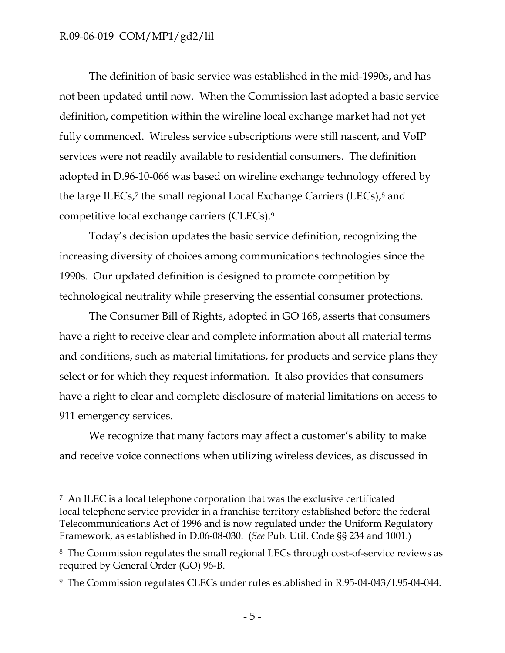$\overline{\phantom{a}}$ 

The definition of basic service was established in the mid-1990s, and has not been updated until now. When the Commission last adopted a basic service definition, competition within the wireline local exchange market had not yet fully commenced. Wireless service subscriptions were still nascent, and VoIP services were not readily available to residential consumers. The definition adopted in D.96-10-066 was based on wireline exchange technology offered by the large ILECs,<sup>7</sup> the small regional Local Exchange Carriers (LECs),<sup>8</sup> and competitive local exchange carriers (CLECs).<sup>9</sup>

Today's decision updates the basic service definition, recognizing the increasing diversity of choices among communications technologies since the 1990s. Our updated definition is designed to promote competition by technological neutrality while preserving the essential consumer protections.

The Consumer Bill of Rights, adopted in GO 168, asserts that consumers have a right to receive clear and complete information about all material terms and conditions, such as material limitations, for products and service plans they select or for which they request information. It also provides that consumers have a right to clear and complete disclosure of material limitations on access to 911 emergency services.

We recognize that many factors may affect a customer's ability to make and receive voice connections when utilizing wireless devices, as discussed in

<sup>7</sup> An ILEC is a local telephone corporation that was the exclusive certificated local telephone service provider in a franchise territory established before the federal Telecommunications Act of 1996 and is now regulated under the Uniform Regulatory Framework, as established in D.06-08-030. (*See* Pub. Util. Code §§ 234 and 1001.)

<sup>8</sup> The Commission regulates the small regional LECs through cost-of-service reviews as required by General Order (GO) 96-B.

<sup>9</sup> The Commission regulates CLECs under rules established in R.95-04-043/I.95-04-044.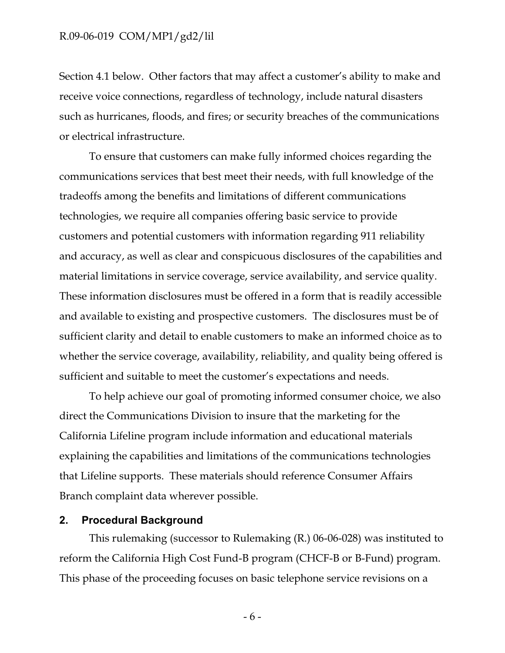Section 4.1 below. Other factors that may affect a customer's ability to make and receive voice connections, regardless of technology, include natural disasters such as hurricanes, floods, and fires; or security breaches of the communications or electrical infrastructure.

To ensure that customers can make fully informed choices regarding the communications services that best meet their needs, with full knowledge of the tradeoffs among the benefits and limitations of different communications technologies, we require all companies offering basic service to provide customers and potential customers with information regarding 911 reliability and accuracy, as well as clear and conspicuous disclosures of the capabilities and material limitations in service coverage, service availability, and service quality. These information disclosures must be offered in a form that is readily accessible and available to existing and prospective customers. The disclosures must be of sufficient clarity and detail to enable customers to make an informed choice as to whether the service coverage, availability, reliability, and quality being offered is sufficient and suitable to meet the customer's expectations and needs.

To help achieve our goal of promoting informed consumer choice, we also direct the Communications Division to insure that the marketing for the California Lifeline program include information and educational materials explaining the capabilities and limitations of the communications technologies that Lifeline supports. These materials should reference Consumer Affairs Branch complaint data wherever possible.

#### <span id="page-7-0"></span>**2. Procedural Background**

This rulemaking (successor to Rulemaking (R.) 06-06-028) was instituted to reform the California High Cost Fund-B program (CHCF-B or B-Fund) program. This phase of the proceeding focuses on basic telephone service revisions on a

- 6 -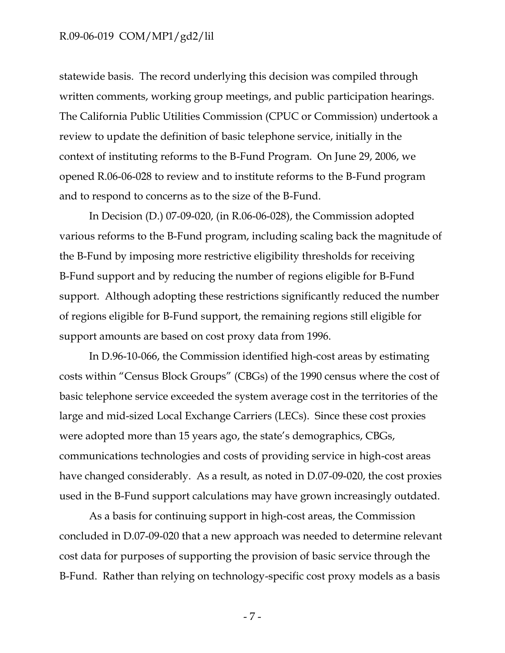statewide basis. The record underlying this decision was compiled through written comments, working group meetings, and public participation hearings. The California Public Utilities Commission (CPUC or Commission) undertook a review to update the definition of basic telephone service, initially in the context of instituting reforms to the B-Fund Program. On June 29, 2006, we opened R.06-06-028 to review and to institute reforms to the B-Fund program and to respond to concerns as to the size of the B-Fund.

In Decision (D.) 07-09-020, (in R.06-06-028), the Commission adopted various reforms to the B-Fund program, including scaling back the magnitude of the B-Fund by imposing more restrictive eligibility thresholds for receiving B-Fund support and by reducing the number of regions eligible for B-Fund support. Although adopting these restrictions significantly reduced the number of regions eligible for B-Fund support, the remaining regions still eligible for support amounts are based on cost proxy data from 1996.

In D.96-10-066, the Commission identified high-cost areas by estimating costs within "Census Block Groups" (CBGs) of the 1990 census where the cost of basic telephone service exceeded the system average cost in the territories of the large and mid-sized Local Exchange Carriers (LECs). Since these cost proxies were adopted more than 15 years ago, the state's demographics, CBGs, communications technologies and costs of providing service in high-cost areas have changed considerably. As a result, as noted in D.07-09-020, the cost proxies used in the B-Fund support calculations may have grown increasingly outdated.

As a basis for continuing support in high-cost areas, the Commission concluded in D.07-09-020 that a new approach was needed to determine relevant cost data for purposes of supporting the provision of basic service through the B-Fund. Rather than relying on technology-specific cost proxy models as a basis

- 7 -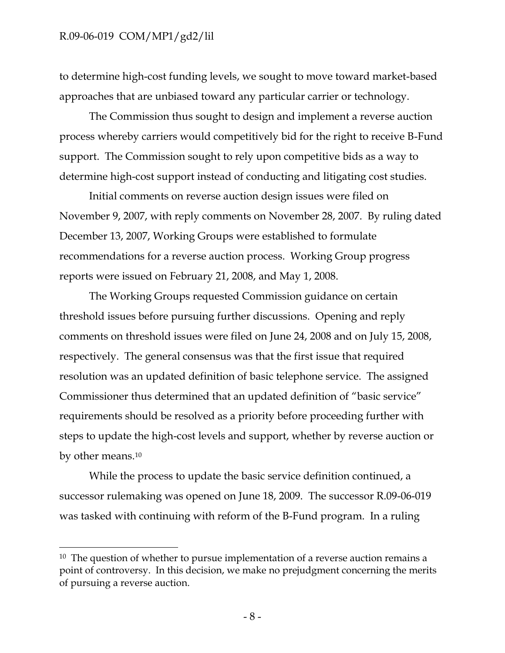$\overline{\phantom{a}}$ 

to determine high-cost funding levels, we sought to move toward market-based approaches that are unbiased toward any particular carrier or technology.

The Commission thus sought to design and implement a reverse auction process whereby carriers would competitively bid for the right to receive B-Fund support. The Commission sought to rely upon competitive bids as a way to determine high-cost support instead of conducting and litigating cost studies.

Initial comments on reverse auction design issues were filed on November 9, 2007, with reply comments on November 28, 2007. By ruling dated December 13, 2007, Working Groups were established to formulate recommendations for a reverse auction process. Working Group progress reports were issued on February 21, 2008, and May 1, 2008.

The Working Groups requested Commission guidance on certain threshold issues before pursuing further discussions. Opening and reply comments on threshold issues were filed on June 24, 2008 and on July 15, 2008, respectively. The general consensus was that the first issue that required resolution was an updated definition of basic telephone service. The assigned Commissioner thus determined that an updated definition of "basic service" requirements should be resolved as a priority before proceeding further with steps to update the high-cost levels and support, whether by reverse auction or by other means.<sup>10</sup>

While the process to update the basic service definition continued, a successor rulemaking was opened on June 18, 2009. The successor R.09-06-019 was tasked with continuing with reform of the B-Fund program. In a ruling

 $10$  The question of whether to pursue implementation of a reverse auction remains a point of controversy. In this decision, we make no prejudgment concerning the merits of pursuing a reverse auction.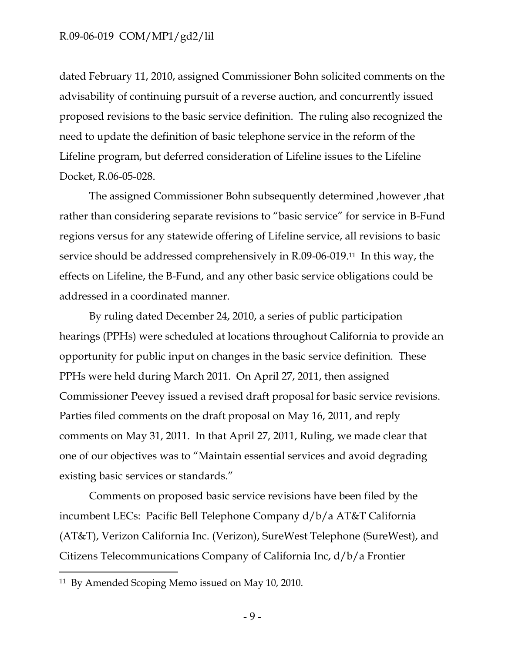dated February 11, 2010, assigned Commissioner Bohn solicited comments on the advisability of continuing pursuit of a reverse auction, and concurrently issued proposed revisions to the basic service definition. The ruling also recognized the need to update the definition of basic telephone service in the reform of the Lifeline program, but deferred consideration of Lifeline issues to the Lifeline Docket, R.06-05-028.

The assigned Commissioner Bohn subsequently determined ,however ,that rather than considering separate revisions to "basic service" for service in B-Fund regions versus for any statewide offering of Lifeline service, all revisions to basic service should be addressed comprehensively in R.09-06-019.11 In this way, the effects on Lifeline, the B-Fund, and any other basic service obligations could be addressed in a coordinated manner.

By ruling dated December 24, 2010, a series of public participation hearings (PPHs) were scheduled at locations throughout California to provide an opportunity for public input on changes in the basic service definition. These PPHs were held during March 2011. On April 27, 2011, then assigned Commissioner Peevey issued a revised draft proposal for basic service revisions. Parties filed comments on the draft proposal on May 16, 2011, and reply comments on May 31, 2011. In that April 27, 2011, Ruling, we made clear that one of our objectives was to "Maintain essential services and avoid degrading existing basic services or standards."

Comments on proposed basic service revisions have been filed by the incumbent LECs: Pacific Bell Telephone Company d/b/a AT&T California (AT&T), Verizon California Inc. (Verizon), SureWest Telephone (SureWest), and Citizens Telecommunications Company of California Inc, d/b/a Frontier

 $\overline{\phantom{a}}$ 

<sup>11</sup> By Amended Scoping Memo issued on May 10, 2010.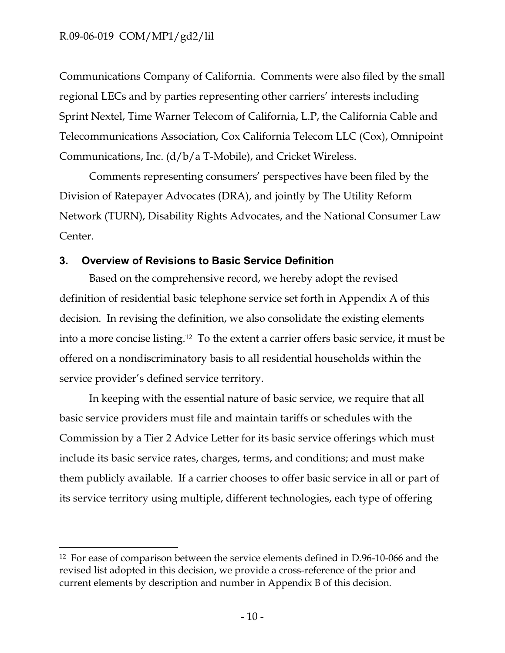$\overline{\phantom{a}}$ 

Communications Company of California. Comments were also filed by the small regional LECs and by parties representing other carriers' interests including Sprint Nextel, Time Warner Telecom of California, L.P, the California Cable and Telecommunications Association, Cox California Telecom LLC (Cox), Omnipoint Communications, Inc. (d/b/a T-Mobile), and Cricket Wireless.

Comments representing consumers' perspectives have been filed by the Division of Ratepayer Advocates (DRA), and jointly by The Utility Reform Network (TURN), Disability Rights Advocates, and the National Consumer Law Center.

## <span id="page-11-0"></span>**3. Overview of Revisions to Basic Service Definition**

Based on the comprehensive record, we hereby adopt the revised definition of residential basic telephone service set forth in Appendix A of this decision. In revising the definition, we also consolidate the existing elements into a more concise listing.12 To the extent a carrier offers basic service, it must be offered on a nondiscriminatory basis to all residential households within the service provider's defined service territory.

In keeping with the essential nature of basic service, we require that all basic service providers must file and maintain tariffs or schedules with the Commission by a Tier 2 Advice Letter for its basic service offerings which must include its basic service rates, charges, terms, and conditions; and must make them publicly available. If a carrier chooses to offer basic service in all or part of its service territory using multiple, different technologies, each type of offering

<sup>12</sup> For ease of comparison between the service elements defined in D.96-10-066 and the revised list adopted in this decision, we provide a cross-reference of the prior and current elements by description and number in Appendix B of this decision.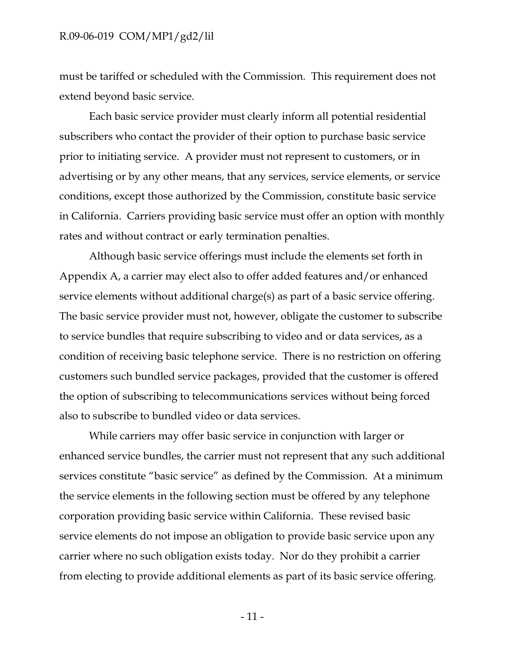must be tariffed or scheduled with the Commission. This requirement does not extend beyond basic service.

Each basic service provider must clearly inform all potential residential subscribers who contact the provider of their option to purchase basic service prior to initiating service. A provider must not represent to customers, or in advertising or by any other means, that any services, service elements, or service conditions, except those authorized by the Commission, constitute basic service in California. Carriers providing basic service must offer an option with monthly rates and without contract or early termination penalties.

Although basic service offerings must include the elements set forth in Appendix A, a carrier may elect also to offer added features and/or enhanced service elements without additional charge(s) as part of a basic service offering. The basic service provider must not, however, obligate the customer to subscribe to service bundles that require subscribing to video and or data services, as a condition of receiving basic telephone service. There is no restriction on offering customers such bundled service packages, provided that the customer is offered the option of subscribing to telecommunications services without being forced also to subscribe to bundled video or data services.

While carriers may offer basic service in conjunction with larger or enhanced service bundles, the carrier must not represent that any such additional services constitute "basic service" as defined by the Commission. At a minimum the service elements in the following section must be offered by any telephone corporation providing basic service within California. These revised basic service elements do not impose an obligation to provide basic service upon any carrier where no such obligation exists today. Nor do they prohibit a carrier from electing to provide additional elements as part of its basic service offering.

- 11 -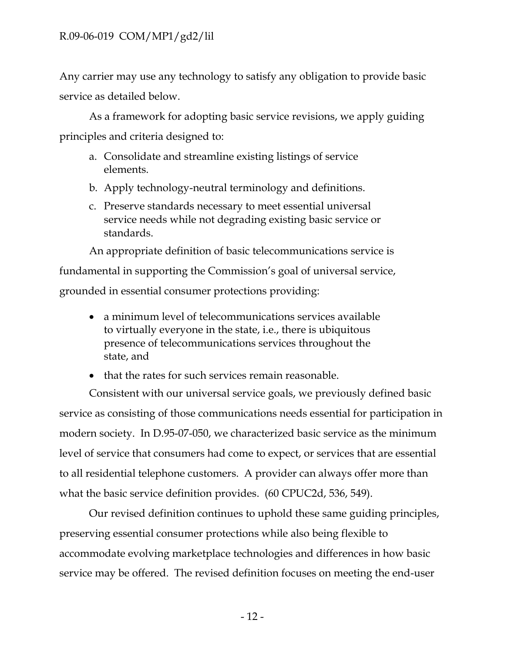Any carrier may use any technology to satisfy any obligation to provide basic service as detailed below.

As a framework for adopting basic service revisions, we apply guiding principles and criteria designed to:

- a. Consolidate and streamline existing listings of service elements.
- b. Apply technology-neutral terminology and definitions.
- c. Preserve standards necessary to meet essential universal service needs while not degrading existing basic service or standards.

An appropriate definition of basic telecommunications service is fundamental in supporting the Commission's goal of universal service, grounded in essential consumer protections providing:

- a minimum level of telecommunications services available to virtually everyone in the state, i.e., there is ubiquitous presence of telecommunications services throughout the state, and
- that the rates for such services remain reasonable.

Consistent with our universal service goals, we previously defined basic service as consisting of those communications needs essential for participation in modern society. In D.95-07-050, we characterized basic service as the minimum level of service that consumers had come to expect, or services that are essential to all residential telephone customers. A provider can always offer more than what the basic service definition provides. (60 CPUC2d, 536, 549).

Our revised definition continues to uphold these same guiding principles, preserving essential consumer protections while also being flexible to accommodate evolving marketplace technologies and differences in how basic service may be offered. The revised definition focuses on meeting the end-user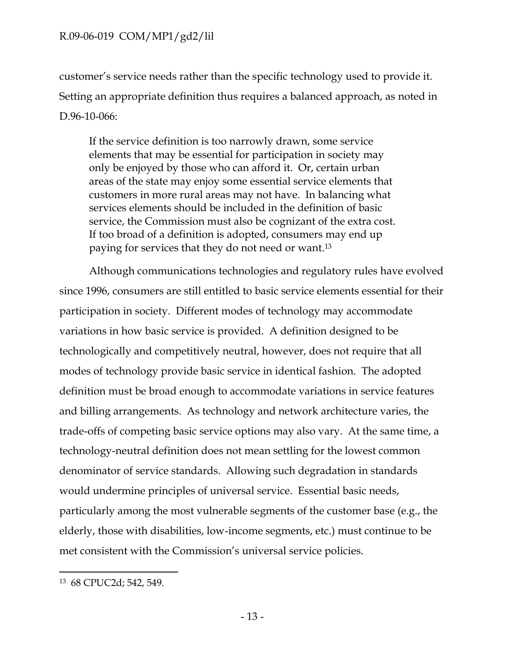customer's service needs rather than the specific technology used to provide it. Setting an appropriate definition thus requires a balanced approach, as noted in D.96-10-066:

If the service definition is too narrowly drawn, some service elements that may be essential for participation in society may only be enjoyed by those who can afford it. Or, certain urban areas of the state may enjoy some essential service elements that customers in more rural areas may not have. In balancing what services elements should be included in the definition of basic service, the Commission must also be cognizant of the extra cost. If too broad of a definition is adopted, consumers may end up paying for services that they do not need or want.<sup>13</sup>

Although communications technologies and regulatory rules have evolved since 1996, consumers are still entitled to basic service elements essential for their participation in society. Different modes of technology may accommodate variations in how basic service is provided. A definition designed to be technologically and competitively neutral, however, does not require that all modes of technology provide basic service in identical fashion. The adopted definition must be broad enough to accommodate variations in service features and billing arrangements. As technology and network architecture varies, the trade-offs of competing basic service options may also vary. At the same time, a technology-neutral definition does not mean settling for the lowest common denominator of service standards. Allowing such degradation in standards would undermine principles of universal service. Essential basic needs, particularly among the most vulnerable segments of the customer base (e.g., the elderly, those with disabilities, low-income segments, etc.) must continue to be met consistent with the Commission's universal service policies.

 $\overline{\phantom{a}}$ 

<sup>13</sup> 68 CPUC2d; 542, 549.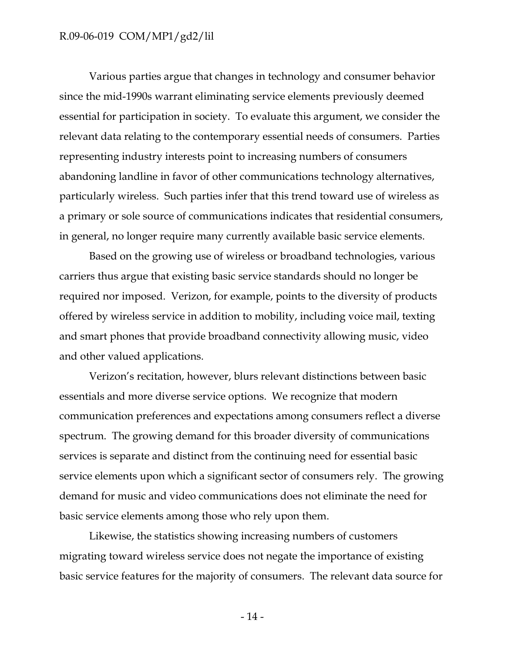Various parties argue that changes in technology and consumer behavior since the mid-1990s warrant eliminating service elements previously deemed essential for participation in society. To evaluate this argument, we consider the relevant data relating to the contemporary essential needs of consumers. Parties representing industry interests point to increasing numbers of consumers abandoning landline in favor of other communications technology alternatives, particularly wireless. Such parties infer that this trend toward use of wireless as a primary or sole source of communications indicates that residential consumers, in general, no longer require many currently available basic service elements.

Based on the growing use of wireless or broadband technologies, various carriers thus argue that existing basic service standards should no longer be required nor imposed. Verizon, for example, points to the diversity of products offered by wireless service in addition to mobility, including voice mail, texting and smart phones that provide broadband connectivity allowing music, video and other valued applications.

Verizon's recitation, however, blurs relevant distinctions between basic essentials and more diverse service options. We recognize that modern communication preferences and expectations among consumers reflect a diverse spectrum. The growing demand for this broader diversity of communications services is separate and distinct from the continuing need for essential basic service elements upon which a significant sector of consumers rely. The growing demand for music and video communications does not eliminate the need for basic service elements among those who rely upon them.

Likewise, the statistics showing increasing numbers of customers migrating toward wireless service does not negate the importance of existing basic service features for the majority of consumers. The relevant data source for

- 14 -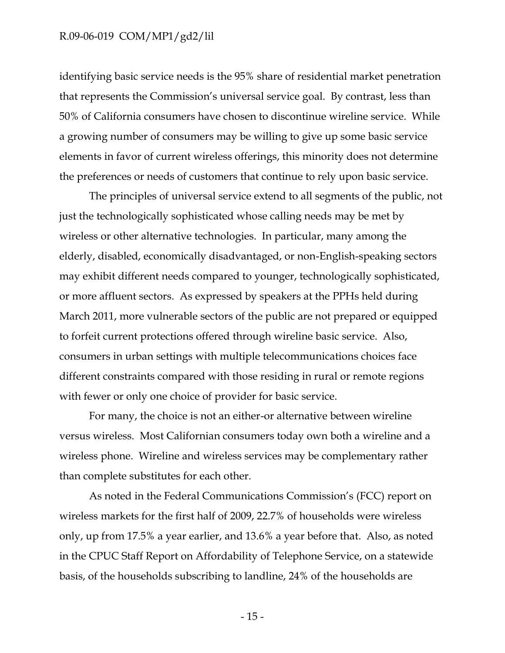identifying basic service needs is the 95% share of residential market penetration that represents the Commission's universal service goal. By contrast, less than 50% of California consumers have chosen to discontinue wireline service. While a growing number of consumers may be willing to give up some basic service elements in favor of current wireless offerings, this minority does not determine the preferences or needs of customers that continue to rely upon basic service.

The principles of universal service extend to all segments of the public, not just the technologically sophisticated whose calling needs may be met by wireless or other alternative technologies. In particular, many among the elderly, disabled, economically disadvantaged, or non-English-speaking sectors may exhibit different needs compared to younger, technologically sophisticated, or more affluent sectors. As expressed by speakers at the PPHs held during March 2011, more vulnerable sectors of the public are not prepared or equipped to forfeit current protections offered through wireline basic service. Also, consumers in urban settings with multiple telecommunications choices face different constraints compared with those residing in rural or remote regions with fewer or only one choice of provider for basic service.

For many, the choice is not an either-or alternative between wireline versus wireless. Most Californian consumers today own both a wireline and a wireless phone. Wireline and wireless services may be complementary rather than complete substitutes for each other.

As noted in the Federal Communications Commission's (FCC) report on wireless markets for the first half of 2009, 22.7% of households were wireless only, up from 17.5% a year earlier, and 13.6% a year before that. Also, as noted in the CPUC Staff Report on Affordability of Telephone Service, on a statewide basis, of the households subscribing to landline, 24% of the households are

- 15 -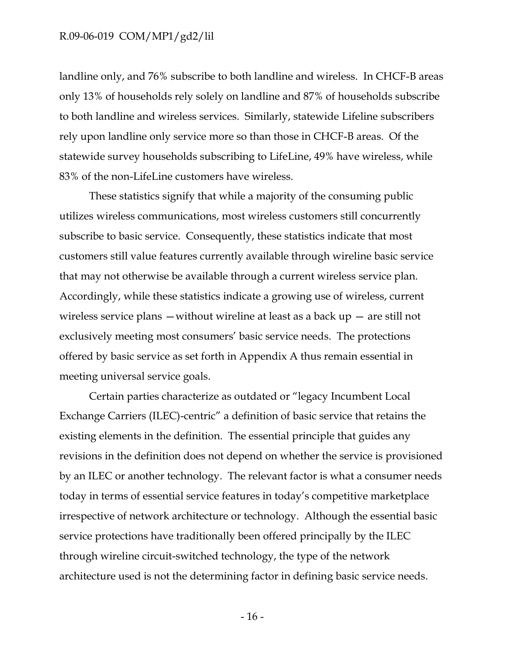landline only, and 76% subscribe to both landline and wireless. In CHCF-B areas only 13% of households rely solely on landline and 87% of households subscribe to both landline and wireless services. Similarly, statewide Lifeline subscribers rely upon landline only service more so than those in CHCF-B areas. Of the statewide survey households subscribing to LifeLine, 49% have wireless, while 83% of the non-LifeLine customers have wireless.

These statistics signify that while a majority of the consuming public utilizes wireless communications, most wireless customers still concurrently subscribe to basic service. Consequently, these statistics indicate that most customers still value features currently available through wireline basic service that may not otherwise be available through a current wireless service plan. Accordingly, while these statistics indicate a growing use of wireless, current wireless service plans  $-$  without wireline at least as a back  $up -$  are still not exclusively meeting most consumers' basic service needs. The protections offered by basic service as set forth in Appendix A thus remain essential in meeting universal service goals.

Certain parties characterize as outdated or "legacy Incumbent Local Exchange Carriers (ILEC)-centric" a definition of basic service that retains the existing elements in the definition. The essential principle that guides any revisions in the definition does not depend on whether the service is provisioned by an ILEC or another technology. The relevant factor is what a consumer needs today in terms of essential service features in today's competitive marketplace irrespective of network architecture or technology. Although the essential basic service protections have traditionally been offered principally by the ILEC through wireline circuit-switched technology, the type of the network architecture used is not the determining factor in defining basic service needs.

- 16 -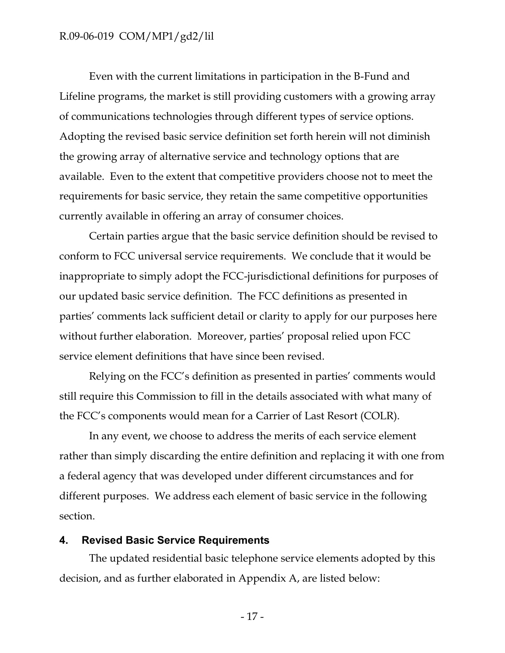Even with the current limitations in participation in the B-Fund and Lifeline programs, the market is still providing customers with a growing array of communications technologies through different types of service options. Adopting the revised basic service definition set forth herein will not diminish the growing array of alternative service and technology options that are available. Even to the extent that competitive providers choose not to meet the requirements for basic service, they retain the same competitive opportunities currently available in offering an array of consumer choices.

Certain parties argue that the basic service definition should be revised to conform to FCC universal service requirements. We conclude that it would be inappropriate to simply adopt the FCC-jurisdictional definitions for purposes of our updated basic service definition. The FCC definitions as presented in parties' comments lack sufficient detail or clarity to apply for our purposes here without further elaboration. Moreover, parties' proposal relied upon FCC service element definitions that have since been revised.

Relying on the FCC's definition as presented in parties' comments would still require this Commission to fill in the details associated with what many of the FCC's components would mean for a Carrier of Last Resort (COLR).

In any event, we choose to address the merits of each service element rather than simply discarding the entire definition and replacing it with one from a federal agency that was developed under different circumstances and for different purposes. We address each element of basic service in the following section.

#### <span id="page-18-0"></span>**4. Revised Basic Service Requirements**

The updated residential basic telephone service elements adopted by this decision, and as further elaborated in Appendix A, are listed below:

- 17 -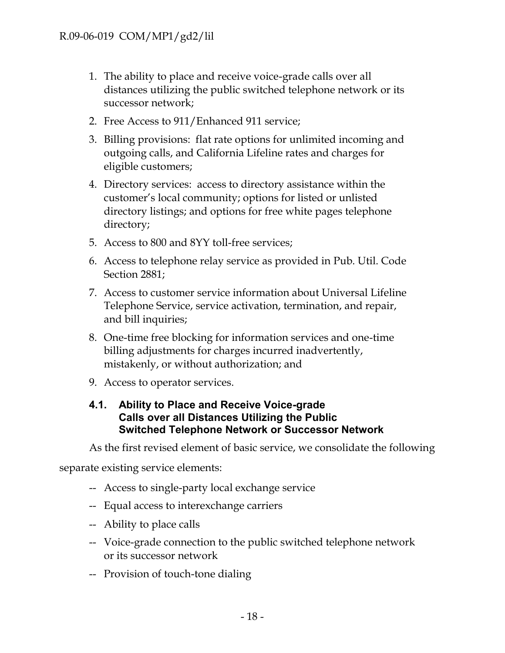- 1. The ability to place and receive voice-grade calls over all distances utilizing the public switched telephone network or its successor network;
- 2. Free Access to 911/Enhanced 911 service;
- 3. Billing provisions: flat rate options for unlimited incoming and outgoing calls, and California Lifeline rates and charges for eligible customers;
- 4. Directory services: access to directory assistance within the customer's local community; options for listed or unlisted directory listings; and options for free white pages telephone directory;
- 5. Access to 800 and 8YY toll-free services;
- 6. Access to telephone relay service as provided in Pub. Util. Code Section 2881;
- 7. Access to customer service information about Universal Lifeline Telephone Service, service activation, termination, and repair, and bill inquiries;
- 8. One-time free blocking for information services and one-time billing adjustments for charges incurred inadvertently, mistakenly, or without authorization; and
- 9. Access to operator services.

## <span id="page-19-0"></span>**4.1. Ability to Place and Receive Voice-grade Calls over all Distances Utilizing the Public Switched Telephone Network or Successor Network**

As the first revised element of basic service, we consolidate the following

separate existing service elements:

- -- Access to single-party local exchange service
- -- Equal access to interexchange carriers
- -- Ability to place calls
- -- Voice-grade connection to the public switched telephone network or its successor network
- -- Provision of touch-tone dialing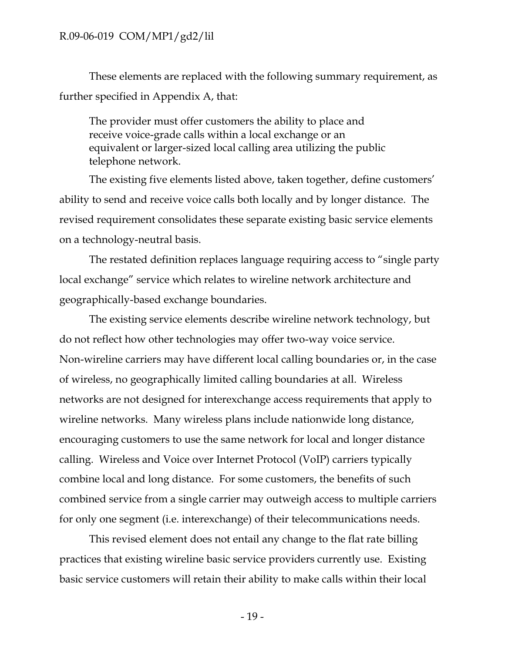These elements are replaced with the following summary requirement, as further specified in Appendix A, that:

The provider must offer customers the ability to place and receive voice-grade calls within a local exchange or an equivalent or larger-sized local calling area utilizing the public telephone network.

The existing five elements listed above, taken together, define customers' ability to send and receive voice calls both locally and by longer distance. The revised requirement consolidates these separate existing basic service elements on a technology-neutral basis.

The restated definition replaces language requiring access to "single party local exchange" service which relates to wireline network architecture and geographically-based exchange boundaries.

The existing service elements describe wireline network technology, but do not reflect how other technologies may offer two-way voice service. Non-wireline carriers may have different local calling boundaries or, in the case of wireless, no geographically limited calling boundaries at all. Wireless networks are not designed for interexchange access requirements that apply to wireline networks. Many wireless plans include nationwide long distance, encouraging customers to use the same network for local and longer distance calling. Wireless and Voice over Internet Protocol (VoIP) carriers typically combine local and long distance. For some customers, the benefits of such combined service from a single carrier may outweigh access to multiple carriers for only one segment (i.e. interexchange) of their telecommunications needs.

This revised element does not entail any change to the flat rate billing practices that existing wireline basic service providers currently use. Existing basic service customers will retain their ability to make calls within their local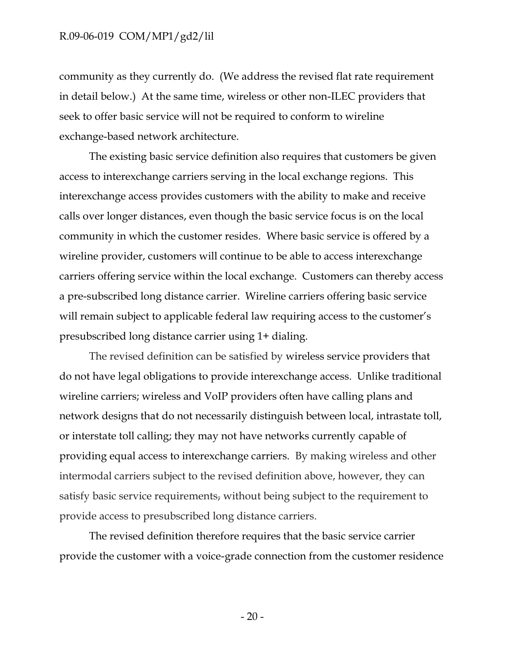community as they currently do. (We address the revised flat rate requirement in detail below.) At the same time, wireless or other non-ILEC providers that seek to offer basic service will not be required to conform to wireline exchange-based network architecture.

The existing basic service definition also requires that customers be given access to interexchange carriers serving in the local exchange regions. This interexchange access provides customers with the ability to make and receive calls over longer distances, even though the basic service focus is on the local community in which the customer resides. Where basic service is offered by a wireline provider, customers will continue to be able to access interexchange carriers offering service within the local exchange. Customers can thereby access a pre-subscribed long distance carrier. Wireline carriers offering basic service will remain subject to applicable federal law requiring access to the customer's presubscribed long distance carrier using 1+ dialing.

The revised definition can be satisfied by wireless service providers that do not have legal obligations to provide interexchange access. Unlike traditional wireline carriers; wireless and VoIP providers often have calling plans and network designs that do not necessarily distinguish between local, intrastate toll, or interstate toll calling; they may not have networks currently capable of providing equal access to interexchange carriers. By making wireless and other intermodal carriers subject to the revised definition above, however, they can satisfy basic service requirements, without being subject to the requirement to provide access to presubscribed long distance carriers.

The revised definition therefore requires that the basic service carrier provide the customer with a voice-grade connection from the customer residence

- 20 -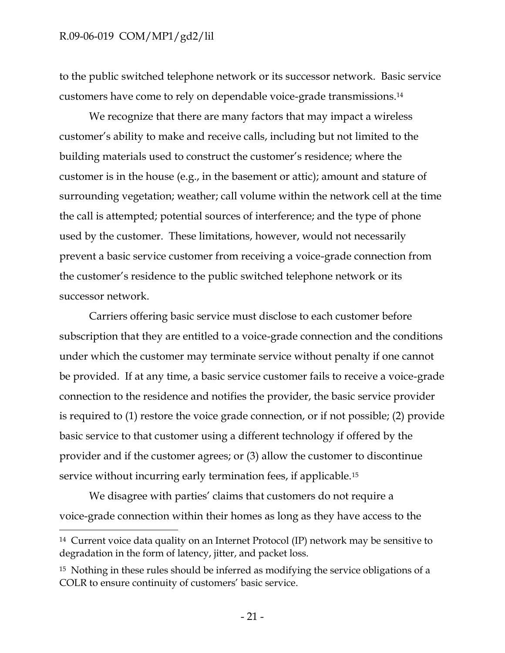l

to the public switched telephone network or its successor network. Basic service customers have come to rely on dependable voice-grade transmissions.<sup>14</sup>

We recognize that there are many factors that may impact a wireless customer's ability to make and receive calls, including but not limited to the building materials used to construct the customer's residence; where the customer is in the house (e.g., in the basement or attic); amount and stature of surrounding vegetation; weather; call volume within the network cell at the time the call is attempted; potential sources of interference; and the type of phone used by the customer. These limitations, however, would not necessarily prevent a basic service customer from receiving a voice-grade connection from the customer's residence to the public switched telephone network or its successor network.

Carriers offering basic service must disclose to each customer before subscription that they are entitled to a voice-grade connection and the conditions under which the customer may terminate service without penalty if one cannot be provided. If at any time, a basic service customer fails to receive a voice-grade connection to the residence and notifies the provider, the basic service provider is required to (1) restore the voice grade connection, or if not possible; (2) provide basic service to that customer using a different technology if offered by the provider and if the customer agrees; or (3) allow the customer to discontinue service without incurring early termination fees, if applicable.<sup>15</sup>

We disagree with parties' claims that customers do not require a voice-grade connection within their homes as long as they have access to the

<sup>14</sup> Current voice data quality on an Internet Protocol (IP) network may be sensitive to degradation in the form of latency, jitter, and packet loss.

<sup>&</sup>lt;sup>15</sup> Nothing in these rules should be inferred as modifying the service obligations of a COLR to ensure continuity of customers' basic service.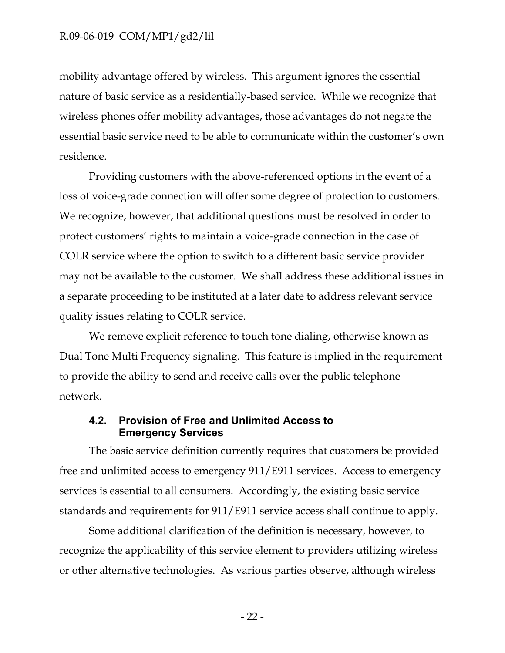mobility advantage offered by wireless. This argument ignores the essential nature of basic service as a residentially-based service. While we recognize that wireless phones offer mobility advantages, those advantages do not negate the essential basic service need to be able to communicate within the customer's own residence.

Providing customers with the above-referenced options in the event of a loss of voice-grade connection will offer some degree of protection to customers. We recognize, however, that additional questions must be resolved in order to protect customers' rights to maintain a voice-grade connection in the case of COLR service where the option to switch to a different basic service provider may not be available to the customer. We shall address these additional issues in a separate proceeding to be instituted at a later date to address relevant service quality issues relating to COLR service.

We remove explicit reference to touch tone dialing, otherwise known as Dual Tone Multi Frequency signaling. This feature is implied in the requirement to provide the ability to send and receive calls over the public telephone network.

## <span id="page-23-0"></span>**4.2. Provision of Free and Unlimited Access to Emergency Services**

The basic service definition currently requires that customers be provided free and unlimited access to emergency 911/E911 services. Access to emergency services is essential to all consumers. Accordingly, the existing basic service standards and requirements for 911/E911 service access shall continue to apply.

Some additional clarification of the definition is necessary, however, to recognize the applicability of this service element to providers utilizing wireless or other alternative technologies. As various parties observe, although wireless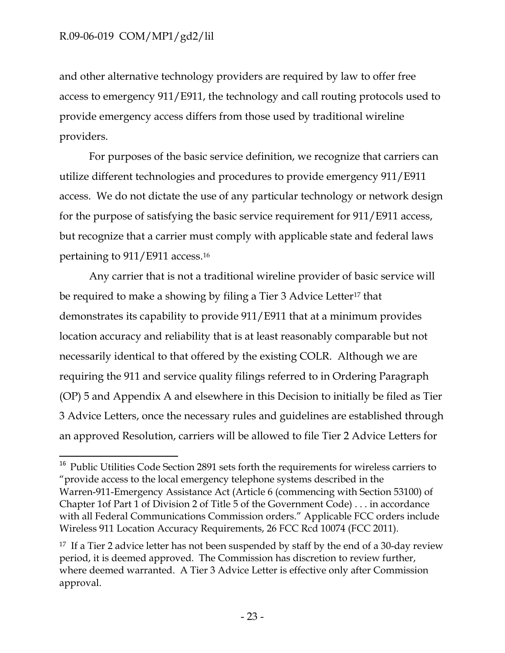$\overline{\phantom{a}}$ 

and other alternative technology providers are required by law to offer free access to emergency 911/E911, the technology and call routing protocols used to provide emergency access differs from those used by traditional wireline providers.

For purposes of the basic service definition, we recognize that carriers can utilize different technologies and procedures to provide emergency 911/E911 access. We do not dictate the use of any particular technology or network design for the purpose of satisfying the basic service requirement for 911/E911 access, but recognize that a carrier must comply with applicable state and federal laws pertaining to 911/E911 access.<sup>16</sup>

Any carrier that is not a traditional wireline provider of basic service will be required to make a showing by filing a Tier 3 Advice Letter<sup>17</sup> that demonstrates its capability to provide 911/E911 that at a minimum provides location accuracy and reliability that is at least reasonably comparable but not necessarily identical to that offered by the existing COLR. Although we are requiring the 911 and service quality filings referred to in Ordering Paragraph (OP) 5 and Appendix A and elsewhere in this Decision to initially be filed as Tier 3 Advice Letters, once the necessary rules and guidelines are established through an approved Resolution, carriers will be allowed to file Tier 2 Advice Letters for

<sup>&</sup>lt;sup>16</sup> Public Utilities Code Section 2891 sets forth the requirements for wireless carriers to "provide access to the local emergency telephone systems described in the Warren-911-Emergency Assistance Act (Article 6 (commencing with Section 53100) of Chapter 1of Part 1 of Division 2 of Title 5 of the Government Code) . . . in accordance with all Federal Communications Commission orders." Applicable FCC orders include Wireless 911 Location Accuracy Requirements, 26 FCC Rcd 10074 (FCC 2011).

<sup>&</sup>lt;sup>17</sup> If a Tier 2 advice letter has not been suspended by staff by the end of a 30-day review period, it is deemed approved. The Commission has discretion to review further, where deemed warranted. A Tier 3 Advice Letter is effective only after Commission approval.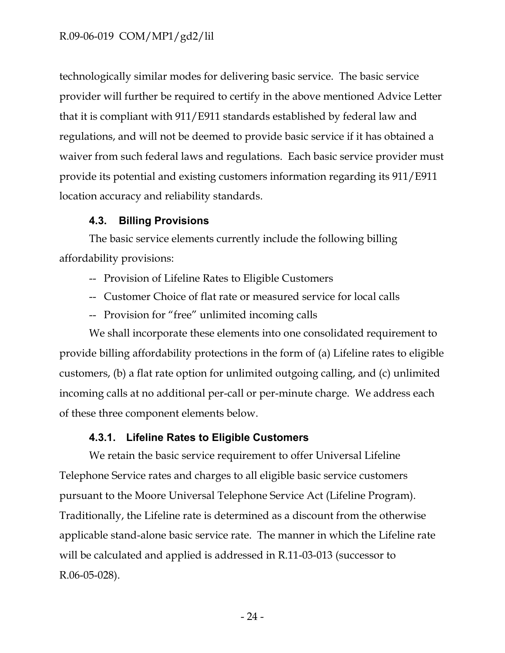technologically similar modes for delivering basic service. The basic service provider will further be required to certify in the above mentioned Advice Letter that it is compliant with 911/E911 standards established by federal law and regulations, and will not be deemed to provide basic service if it has obtained a waiver from such federal laws and regulations. Each basic service provider must provide its potential and existing customers information regarding its 911/E911 location accuracy and reliability standards.

## **4.3. Billing Provisions**

<span id="page-25-0"></span>The basic service elements currently include the following billing affordability provisions:

- -- Provision of Lifeline Rates to Eligible Customers
- -- Customer Choice of flat rate or measured service for local calls
- -- Provision for "free" unlimited incoming calls

We shall incorporate these elements into one consolidated requirement to provide billing affordability protections in the form of (a) Lifeline rates to eligible customers, (b) a flat rate option for unlimited outgoing calling, and (c) unlimited incoming calls at no additional per-call or per-minute charge. We address each of these three component elements below.

## **4.3.1. Lifeline Rates to Eligible Customers**

<span id="page-25-1"></span>We retain the basic service requirement to offer Universal Lifeline Telephone Service rates and charges to all eligible basic service customers pursuant to the Moore Universal Telephone Service Act (Lifeline Program). Traditionally, the Lifeline rate is determined as a discount from the otherwise applicable stand-alone basic service rate. The manner in which the Lifeline rate will be calculated and applied is addressed in R.11-03-013 (successor to R.06-05-028).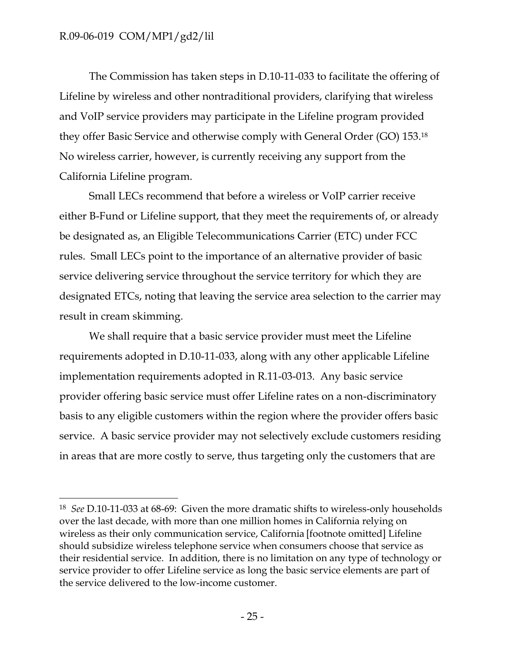$\overline{\phantom{a}}$ 

The Commission has taken steps in D.10-11-033 to facilitate the offering of Lifeline by wireless and other nontraditional providers, clarifying that wireless and VoIP service providers may participate in the Lifeline program provided they offer Basic Service and otherwise comply with General Order (GO) 153.<sup>18</sup> No wireless carrier, however, is currently receiving any support from the California Lifeline program.

Small LECs recommend that before a wireless or VoIP carrier receive either B-Fund or Lifeline support, that they meet the requirements of, or already be designated as, an Eligible Telecommunications Carrier (ETC) under FCC rules. Small LECs point to the importance of an alternative provider of basic service delivering service throughout the service territory for which they are designated ETCs, noting that leaving the service area selection to the carrier may result in cream skimming.

We shall require that a basic service provider must meet the Lifeline requirements adopted in D.10-11-033, along with any other applicable Lifeline implementation requirements adopted in R.11-03-013. Any basic service provider offering basic service must offer Lifeline rates on a non-discriminatory basis to any eligible customers within the region where the provider offers basic service. A basic service provider may not selectively exclude customers residing in areas that are more costly to serve, thus targeting only the customers that are

<sup>18</sup> *See* D.10-11-033 at 68-69: Given the more dramatic shifts to wireless-only households over the last decade, with more than one million homes in California relying on wireless as their only communication service, California [footnote omitted] Lifeline should subsidize wireless telephone service when consumers choose that service as their residential service. In addition, there is no limitation on any type of technology or service provider to offer Lifeline service as long the basic service elements are part of the service delivered to the low-income customer.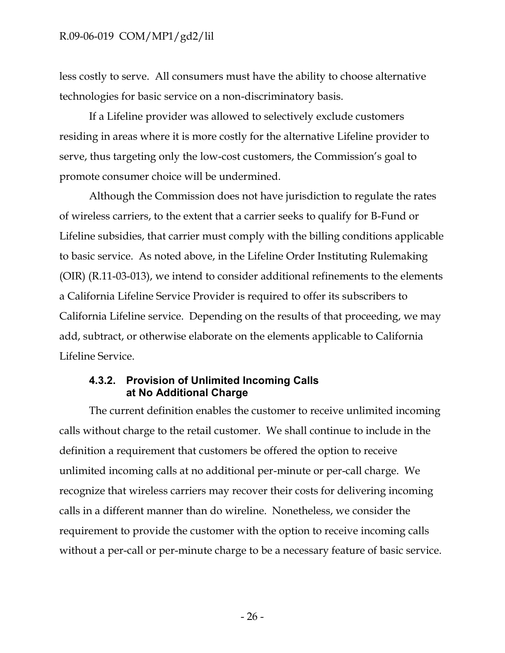less costly to serve. All consumers must have the ability to choose alternative technologies for basic service on a non-discriminatory basis.

If a Lifeline provider was allowed to selectively exclude customers residing in areas where it is more costly for the alternative Lifeline provider to serve, thus targeting only the low-cost customers, the Commission's goal to promote consumer choice will be undermined.

Although the Commission does not have jurisdiction to regulate the rates of wireless carriers, to the extent that a carrier seeks to qualify for B-Fund or Lifeline subsidies, that carrier must comply with the billing conditions applicable to basic service. As noted above, in the Lifeline Order Instituting Rulemaking (OIR) (R.11-03-013), we intend to consider additional refinements to the elements a California Lifeline Service Provider is required to offer its subscribers to California Lifeline service. Depending on the results of that proceeding, we may add, subtract, or otherwise elaborate on the elements applicable to California Lifeline Service.

## <span id="page-27-0"></span>**4.3.2. Provision of Unlimited Incoming Calls at No Additional Charge**

The current definition enables the customer to receive unlimited incoming calls without charge to the retail customer. We shall continue to include in the definition a requirement that customers be offered the option to receive unlimited incoming calls at no additional per-minute or per-call charge. We recognize that wireless carriers may recover their costs for delivering incoming calls in a different manner than do wireline. Nonetheless, we consider the requirement to provide the customer with the option to receive incoming calls without a per-call or per-minute charge to be a necessary feature of basic service.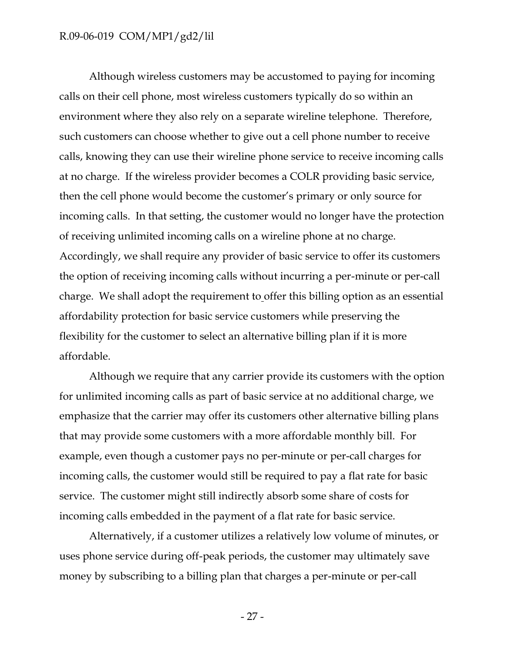Although wireless customers may be accustomed to paying for incoming calls on their cell phone, most wireless customers typically do so within an environment where they also rely on a separate wireline telephone. Therefore, such customers can choose whether to give out a cell phone number to receive calls, knowing they can use their wireline phone service to receive incoming calls at no charge. If the wireless provider becomes a COLR providing basic service, then the cell phone would become the customer's primary or only source for incoming calls. In that setting, the customer would no longer have the protection of receiving unlimited incoming calls on a wireline phone at no charge. Accordingly, we shall require any provider of basic service to offer its customers the option of receiving incoming calls without incurring a per-minute or per-call charge. We shall adopt the requirement to offer this billing option as an essential affordability protection for basic service customers while preserving the flexibility for the customer to select an alternative billing plan if it is more affordable.

Although we require that any carrier provide its customers with the option for unlimited incoming calls as part of basic service at no additional charge, we emphasize that the carrier may offer its customers other alternative billing plans that may provide some customers with a more affordable monthly bill. For example, even though a customer pays no per-minute or per-call charges for incoming calls, the customer would still be required to pay a flat rate for basic service. The customer might still indirectly absorb some share of costs for incoming calls embedded in the payment of a flat rate for basic service.

Alternatively, if a customer utilizes a relatively low volume of minutes, or uses phone service during off-peak periods, the customer may ultimately save money by subscribing to a billing plan that charges a per-minute or per-call

- 27 -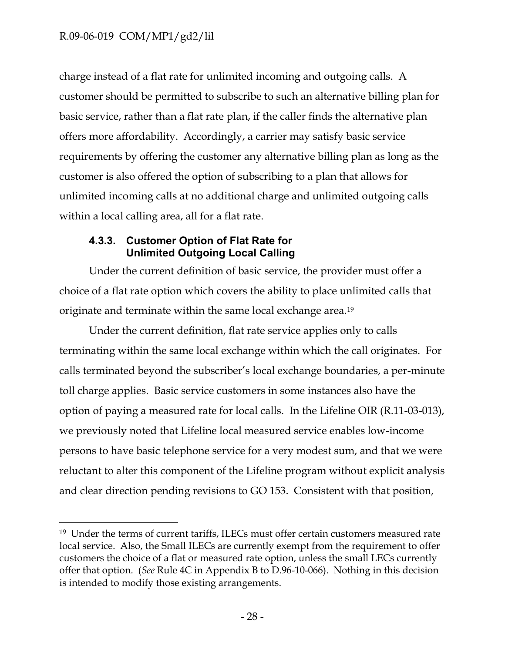$\overline{\phantom{a}}$ 

charge instead of a flat rate for unlimited incoming and outgoing calls. A customer should be permitted to subscribe to such an alternative billing plan for basic service, rather than a flat rate plan, if the caller finds the alternative plan offers more affordability. Accordingly, a carrier may satisfy basic service requirements by offering the customer any alternative billing plan as long as the customer is also offered the option of subscribing to a plan that allows for unlimited incoming calls at no additional charge and unlimited outgoing calls within a local calling area, all for a flat rate.

## <span id="page-29-0"></span>**4.3.3. Customer Option of Flat Rate for Unlimited Outgoing Local Calling**

Under the current definition of basic service, the provider must offer a choice of a flat rate option which covers the ability to place unlimited calls that originate and terminate within the same local exchange area.<sup>19</sup>

Under the current definition, flat rate service applies only to calls terminating within the same local exchange within which the call originates. For calls terminated beyond the subscriber's local exchange boundaries, a per-minute toll charge applies. Basic service customers in some instances also have the option of paying a measured rate for local calls. In the Lifeline OIR (R.11-03-013), we previously noted that Lifeline local measured service enables low-income persons to have basic telephone service for a very modest sum, and that we were reluctant to alter this component of the Lifeline program without explicit analysis and clear direction pending revisions to GO 153. Consistent with that position,

<sup>&</sup>lt;sup>19</sup> Under the terms of current tariffs, ILECs must offer certain customers measured rate local service. Also, the Small ILECs are currently exempt from the requirement to offer customers the choice of a flat or measured rate option, unless the small LECs currently offer that option. (*See* Rule 4C in Appendix B to D.96-10-066). Nothing in this decision is intended to modify those existing arrangements.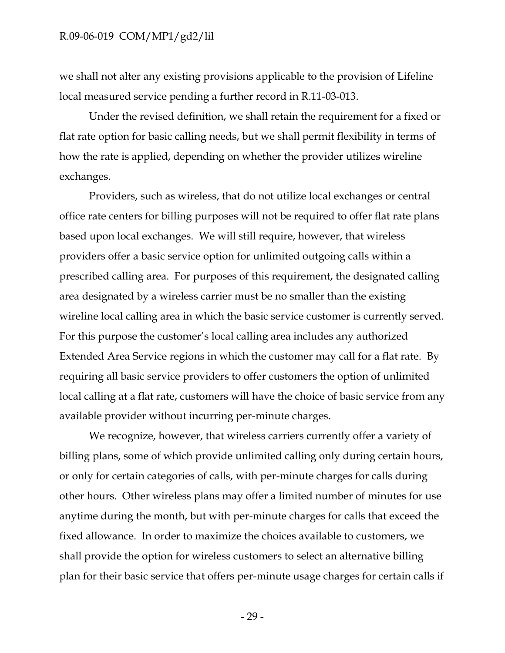we shall not alter any existing provisions applicable to the provision of Lifeline local measured service pending a further record in R.11-03-013.

Under the revised definition, we shall retain the requirement for a fixed or flat rate option for basic calling needs, but we shall permit flexibility in terms of how the rate is applied, depending on whether the provider utilizes wireline exchanges.

Providers, such as wireless, that do not utilize local exchanges or central office rate centers for billing purposes will not be required to offer flat rate plans based upon local exchanges. We will still require, however, that wireless providers offer a basic service option for unlimited outgoing calls within a prescribed calling area. For purposes of this requirement, the designated calling area designated by a wireless carrier must be no smaller than the existing wireline local calling area in which the basic service customer is currently served. For this purpose the customer's local calling area includes any authorized Extended Area Service regions in which the customer may call for a flat rate. By requiring all basic service providers to offer customers the option of unlimited local calling at a flat rate, customers will have the choice of basic service from any available provider without incurring per-minute charges.

We recognize, however, that wireless carriers currently offer a variety of billing plans, some of which provide unlimited calling only during certain hours, or only for certain categories of calls, with per-minute charges for calls during other hours. Other wireless plans may offer a limited number of minutes for use anytime during the month, but with per-minute charges for calls that exceed the fixed allowance. In order to maximize the choices available to customers, we shall provide the option for wireless customers to select an alternative billing plan for their basic service that offers per-minute usage charges for certain calls if

- 29 -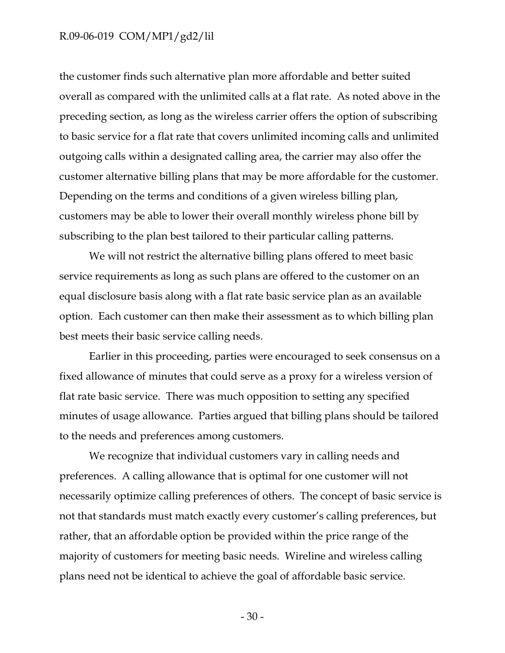the customer finds such alternative plan more affordable and better suited overall as compared with the unlimited calls at a flat rate. As noted above in the preceding section, as long as the wireless carrier offers the option of subscribing to basic service for a flat rate that covers unlimited incoming calls and unlimited outgoing calls within a designated calling area, the carrier may also offer the customer alternative billing plans that may be more affordable for the customer. Depending on the terms and conditions of a given wireless billing plan, customers may be able to lower their overall monthly wireless phone bill by subscribing to the plan best tailored to their particular calling patterns.

We will not restrict the alternative billing plans offered to meet basic service requirements as long as such plans are offered to the customer on an equal disclosure basis along with a flat rate basic service plan as an available option. Each customer can then make their assessment as to which billing plan best meets their basic service calling needs.

Earlier in this proceeding, parties were encouraged to seek consensus on a fixed allowance of minutes that could serve as a proxy for a wireless version of flat rate basic service. There was much opposition to setting any specified minutes of usage allowance. Parties argued that billing plans should be tailored to the needs and preferences among customers.

We recognize that individual customers vary in calling needs and preferences. A calling allowance that is optimal for one customer will not necessarily optimize calling preferences of others. The concept of basic service is not that standards must match exactly every customer's calling preferences, but rather, that an affordable option be provided within the price range of the majority of customers for meeting basic needs. Wireline and wireless calling plans need not be identical to achieve the goal of affordable basic service.

- 30 -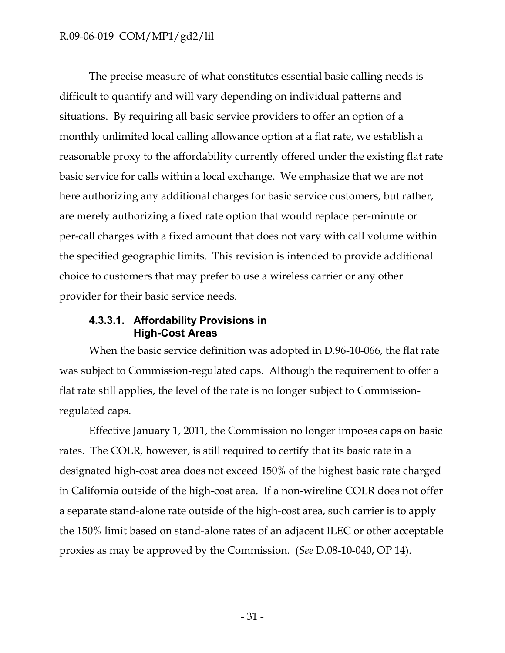The precise measure of what constitutes essential basic calling needs is difficult to quantify and will vary depending on individual patterns and situations. By requiring all basic service providers to offer an option of a monthly unlimited local calling allowance option at a flat rate, we establish a reasonable proxy to the affordability currently offered under the existing flat rate basic service for calls within a local exchange. We emphasize that we are not here authorizing any additional charges for basic service customers, but rather, are merely authorizing a fixed rate option that would replace per-minute or per-call charges with a fixed amount that does not vary with call volume within the specified geographic limits. This revision is intended to provide additional choice to customers that may prefer to use a wireless carrier or any other provider for their basic service needs.

#### <span id="page-32-0"></span>**4.3.3.1. Affordability Provisions in High-Cost Areas**

When the basic service definition was adopted in D.96-10-066, the flat rate was subject to Commission-regulated caps. Although the requirement to offer a flat rate still applies, the level of the rate is no longer subject to Commissionregulated caps.

Effective January 1, 2011, the Commission no longer imposes caps on basic rates. The COLR, however, is still required to certify that its basic rate in a designated high-cost area does not exceed 150% of the highest basic rate charged in California outside of the high-cost area. If a non-wireline COLR does not offer a separate stand-alone rate outside of the high-cost area, such carrier is to apply the 150% limit based on stand-alone rates of an adjacent ILEC or other acceptable proxies as may be approved by the Commission. (*See* D.08-10-040, OP 14).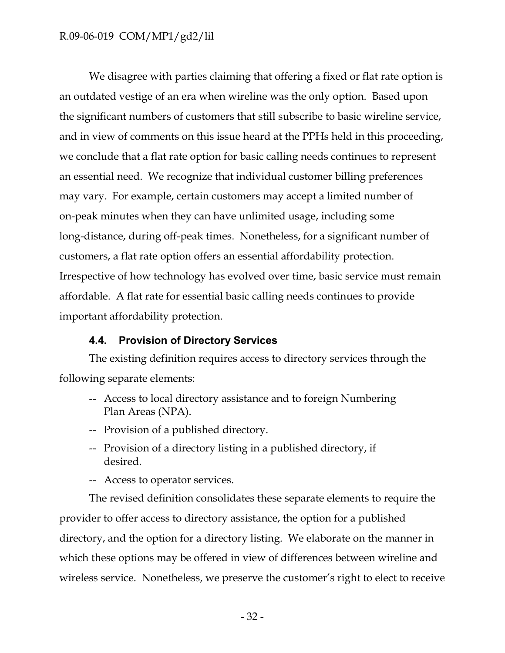We disagree with parties claiming that offering a fixed or flat rate option is an outdated vestige of an era when wireline was the only option. Based upon the significant numbers of customers that still subscribe to basic wireline service, and in view of comments on this issue heard at the PPHs held in this proceeding, we conclude that a flat rate option for basic calling needs continues to represent an essential need. We recognize that individual customer billing preferences may vary. For example, certain customers may accept a limited number of on-peak minutes when they can have unlimited usage, including some long-distance, during off-peak times. Nonetheless, for a significant number of customers, a flat rate option offers an essential affordability protection. Irrespective of how technology has evolved over time, basic service must remain affordable. A flat rate for essential basic calling needs continues to provide important affordability protection.

## **4.4. Provision of Directory Services**

<span id="page-33-0"></span>The existing definition requires access to directory services through the following separate elements:

- -- Access to local directory assistance and to foreign Numbering Plan Areas (NPA).
- -- Provision of a published directory.
- -- Provision of a directory listing in a published directory, if desired.
- -- Access to operator services.

The revised definition consolidates these separate elements to require the provider to offer access to directory assistance, the option for a published directory, and the option for a directory listing. We elaborate on the manner in which these options may be offered in view of differences between wireline and wireless service. Nonetheless, we preserve the customer's right to elect to receive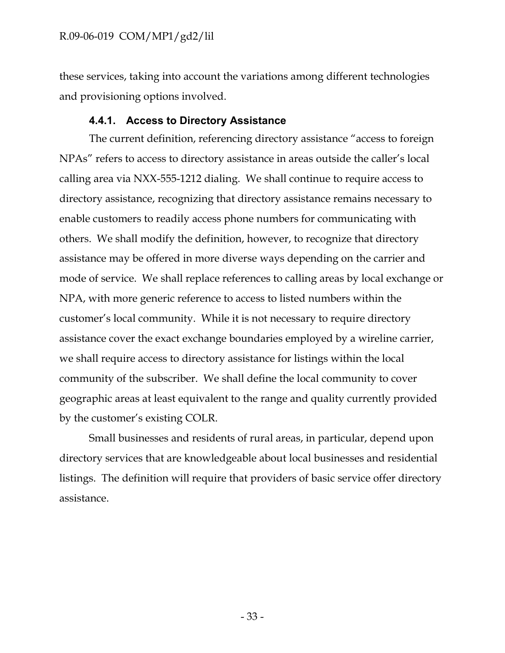these services, taking into account the variations among different technologies and provisioning options involved.

### **4.4.1. Access to Directory Assistance**

<span id="page-34-0"></span>The current definition, referencing directory assistance "access to foreign NPAs" refers to access to directory assistance in areas outside the caller's local calling area via NXX-555-1212 dialing. We shall continue to require access to directory assistance, recognizing that directory assistance remains necessary to enable customers to readily access phone numbers for communicating with others. We shall modify the definition, however, to recognize that directory assistance may be offered in more diverse ways depending on the carrier and mode of service. We shall replace references to calling areas by local exchange or NPA, with more generic reference to access to listed numbers within the customer's local community. While it is not necessary to require directory assistance cover the exact exchange boundaries employed by a wireline carrier, we shall require access to directory assistance for listings within the local community of the subscriber. We shall define the local community to cover geographic areas at least equivalent to the range and quality currently provided by the customer's existing COLR.

Small businesses and residents of rural areas, in particular, depend upon directory services that are knowledgeable about local businesses and residential listings. The definition will require that providers of basic service offer directory assistance.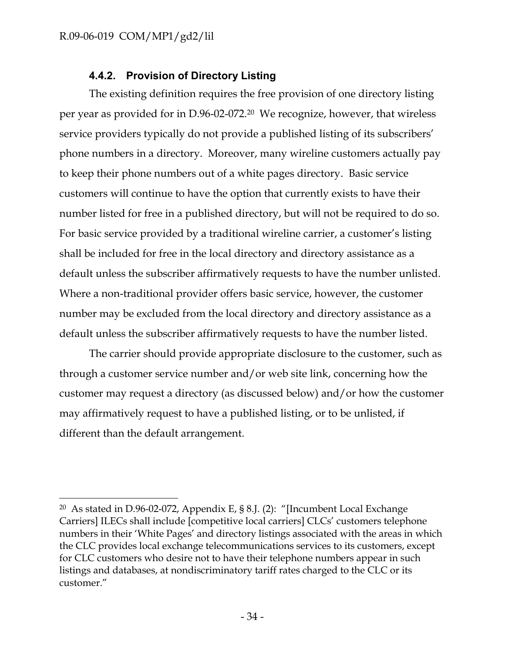$\overline{\phantom{a}}$ 

## **4.4.2. Provision of Directory Listing**

<span id="page-35-0"></span>The existing definition requires the free provision of one directory listing per year as provided for in D.96-02-072.20 We recognize, however, that wireless service providers typically do not provide a published listing of its subscribers' phone numbers in a directory. Moreover, many wireline customers actually pay to keep their phone numbers out of a white pages directory. Basic service customers will continue to have the option that currently exists to have their number listed for free in a published directory, but will not be required to do so. For basic service provided by a traditional wireline carrier, a customer's listing shall be included for free in the local directory and directory assistance as a default unless the subscriber affirmatively requests to have the number unlisted. Where a non-traditional provider offers basic service, however, the customer number may be excluded from the local directory and directory assistance as a default unless the subscriber affirmatively requests to have the number listed.

The carrier should provide appropriate disclosure to the customer, such as through a customer service number and/or web site link, concerning how the customer may request a directory (as discussed below) and/or how the customer may affirmatively request to have a published listing, or to be unlisted, if different than the default arrangement.

<sup>20</sup> As stated in D.96-02-072, Appendix E, § 8.J. (2): "[Incumbent Local Exchange Carriers] ILECs shall include [competitive local carriers] CLCs' customers telephone numbers in their 'White Pages' and directory listings associated with the areas in which the CLC provides local exchange telecommunications services to its customers, except for CLC customers who desire not to have their telephone numbers appear in such listings and databases, at nondiscriminatory tariff rates charged to the CLC or its customer."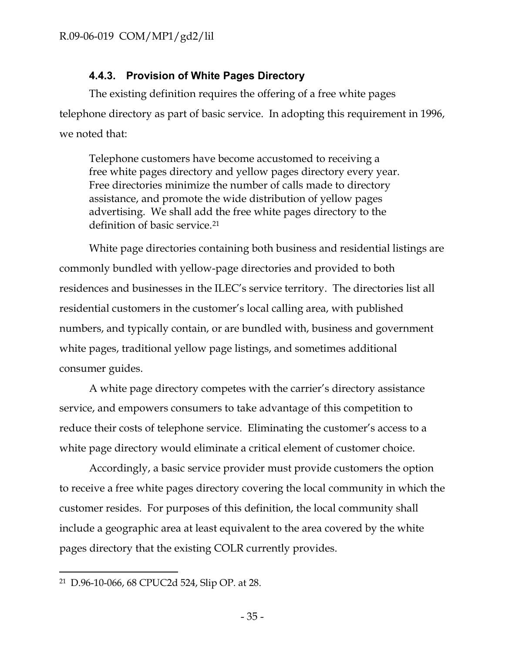## **4.4.3. Provision of White Pages Directory**

<span id="page-36-0"></span>The existing definition requires the offering of a free white pages telephone directory as part of basic service. In adopting this requirement in 1996, we noted that:

Telephone customers have become accustomed to receiving a free white pages directory and yellow pages directory every year. Free directories minimize the number of calls made to directory assistance, and promote the wide distribution of yellow pages advertising. We shall add the free white pages directory to the definition of basic service.<sup>21</sup>

White page directories containing both business and residential listings are commonly bundled with yellow-page directories and provided to both residences and businesses in the ILEC's service territory. The directories list all residential customers in the customer's local calling area, with published numbers, and typically contain, or are bundled with, business and government white pages, traditional yellow page listings, and sometimes additional consumer guides.

A white page directory competes with the carrier's directory assistance service, and empowers consumers to take advantage of this competition to reduce their costs of telephone service. Eliminating the customer's access to a white page directory would eliminate a critical element of customer choice.

Accordingly, a basic service provider must provide customers the option to receive a free white pages directory covering the local community in which the customer resides. For purposes of this definition, the local community shall include a geographic area at least equivalent to the area covered by the white pages directory that the existing COLR currently provides.

 $\overline{\phantom{a}}$ 

<sup>21</sup> D.96-10-066, 68 CPUC2d 524, Slip OP. at 28.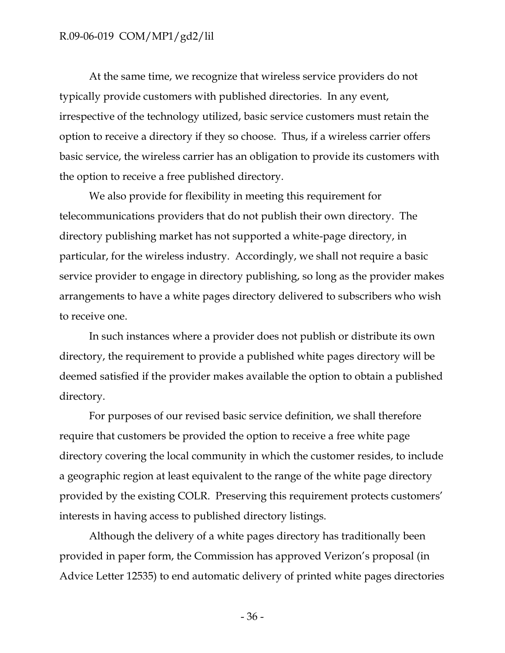At the same time, we recognize that wireless service providers do not typically provide customers with published directories. In any event, irrespective of the technology utilized, basic service customers must retain the option to receive a directory if they so choose. Thus, if a wireless carrier offers basic service, the wireless carrier has an obligation to provide its customers with the option to receive a free published directory.

We also provide for flexibility in meeting this requirement for telecommunications providers that do not publish their own directory. The directory publishing market has not supported a white-page directory, in particular, for the wireless industry. Accordingly, we shall not require a basic service provider to engage in directory publishing, so long as the provider makes arrangements to have a white pages directory delivered to subscribers who wish to receive one.

In such instances where a provider does not publish or distribute its own directory, the requirement to provide a published white pages directory will be deemed satisfied if the provider makes available the option to obtain a published directory.

For purposes of our revised basic service definition, we shall therefore require that customers be provided the option to receive a free white page directory covering the local community in which the customer resides, to include a geographic region at least equivalent to the range of the white page directory provided by the existing COLR. Preserving this requirement protects customers' interests in having access to published directory listings.

Although the delivery of a white pages directory has traditionally been provided in paper form, the Commission has approved Verizon's proposal (in Advice Letter 12535) to end automatic delivery of printed white pages directories

- 36 -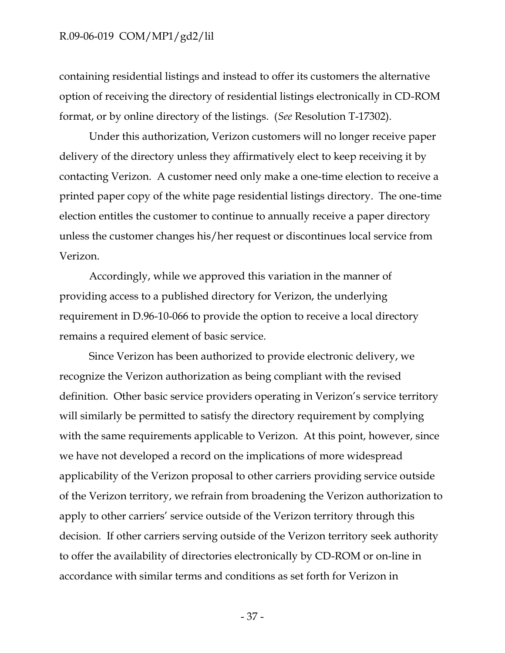containing residential listings and instead to offer its customers the alternative option of receiving the directory of residential listings electronically in CD-ROM format, or by online directory of the listings. (*See* Resolution T-17302).

Under this authorization, Verizon customers will no longer receive paper delivery of the directory unless they affirmatively elect to keep receiving it by contacting Verizon. A customer need only make a one-time election to receive a printed paper copy of the white page residential listings directory. The one-time election entitles the customer to continue to annually receive a paper directory unless the customer changes his/her request or discontinues local service from Verizon.

Accordingly, while we approved this variation in the manner of providing access to a published directory for Verizon, the underlying requirement in D.96-10-066 to provide the option to receive a local directory remains a required element of basic service.

Since Verizon has been authorized to provide electronic delivery, we recognize the Verizon authorization as being compliant with the revised definition. Other basic service providers operating in Verizon's service territory will similarly be permitted to satisfy the directory requirement by complying with the same requirements applicable to Verizon. At this point, however, since we have not developed a record on the implications of more widespread applicability of the Verizon proposal to other carriers providing service outside of the Verizon territory, we refrain from broadening the Verizon authorization to apply to other carriers' service outside of the Verizon territory through this decision. If other carriers serving outside of the Verizon territory seek authority to offer the availability of directories electronically by CD-ROM or on-line in accordance with similar terms and conditions as set forth for Verizon in

- 37 -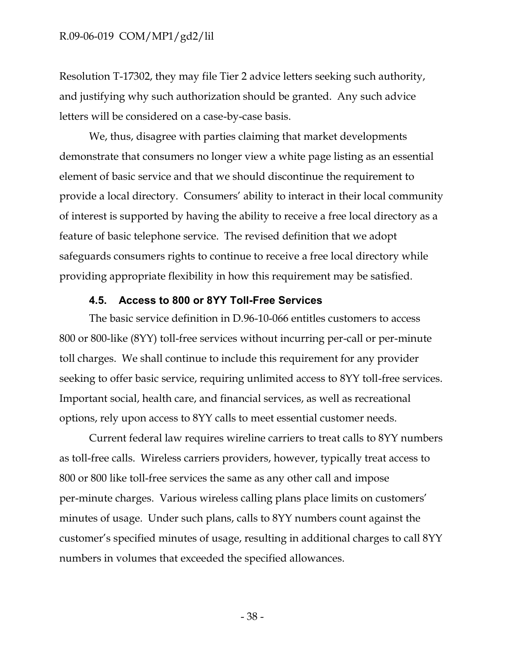Resolution T-17302, they may file Tier 2 advice letters seeking such authority, and justifying why such authorization should be granted. Any such advice letters will be considered on a case-by-case basis.

We, thus, disagree with parties claiming that market developments demonstrate that consumers no longer view a white page listing as an essential element of basic service and that we should discontinue the requirement to provide a local directory. Consumers' ability to interact in their local community of interest is supported by having the ability to receive a free local directory as a feature of basic telephone service. The revised definition that we adopt safeguards consumers rights to continue to receive a free local directory while providing appropriate flexibility in how this requirement may be satisfied.

#### **4.5. Access to 800 or 8YY Toll-Free Services**

<span id="page-39-0"></span>The basic service definition in D.96-10-066 entitles customers to access 800 or 800-like (8YY) toll-free services without incurring per-call or per-minute toll charges. We shall continue to include this requirement for any provider seeking to offer basic service, requiring unlimited access to 8YY toll-free services. Important social, health care, and financial services, as well as recreational options, rely upon access to 8YY calls to meet essential customer needs.

Current federal law requires wireline carriers to treat calls to 8YY numbers as toll-free calls. Wireless carriers providers, however, typically treat access to 800 or 800 like toll-free services the same as any other call and impose per-minute charges. Various wireless calling plans place limits on customers' minutes of usage. Under such plans, calls to 8YY numbers count against the customer's specified minutes of usage, resulting in additional charges to call 8YY numbers in volumes that exceeded the specified allowances.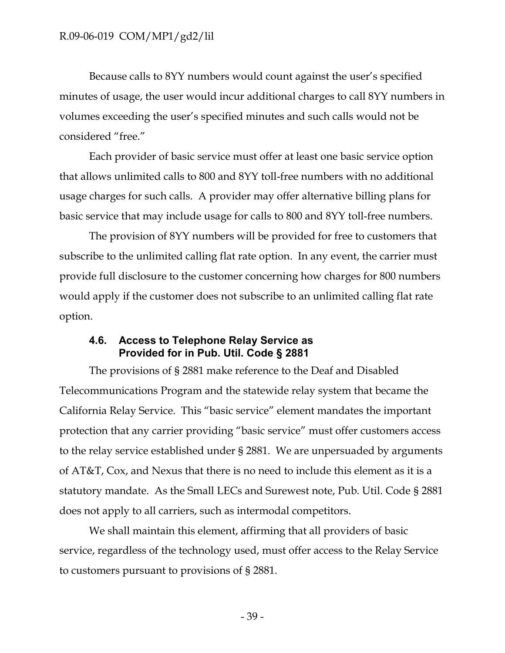Because calls to 8YY numbers would count against the user's specified minutes of usage, the user would incur additional charges to call 8YY numbers in volumes exceeding the user's specified minutes and such calls would not be considered "free."

Each provider of basic service must offer at least one basic service option that allows unlimited calls to 800 and 8YY toll-free numbers with no additional usage charges for such calls. A provider may offer alternative billing plans for basic service that may include usage for calls to 800 and 8YY toll-free numbers.

The provision of 8YY numbers will be provided for free to customers that subscribe to the unlimited calling flat rate option. In any event, the carrier must provide full disclosure to the customer concerning how charges for 800 numbers would apply if the customer does not subscribe to an unlimited calling flat rate option.

## <span id="page-40-0"></span>**4.6. Access to Telephone Relay Service as Provided for in Pub. Util. Code § 2881**

The provisions of § 2881 make reference to the Deaf and Disabled Telecommunications Program and the statewide relay system that became the California Relay Service. This "basic service" element mandates the important protection that any carrier providing "basic service" must offer customers access to the relay service established under § 2881. We are unpersuaded by arguments of AT&T, Cox, and Nexus that there is no need to include this element as it is a statutory mandate. As the Small LECs and Surewest note, Pub. Util. Code § 2881 does not apply to all carriers, such as intermodal competitors.

We shall maintain this element, affirming that all providers of basic service, regardless of the technology used, must offer access to the Relay Service to customers pursuant to provisions of § 2881.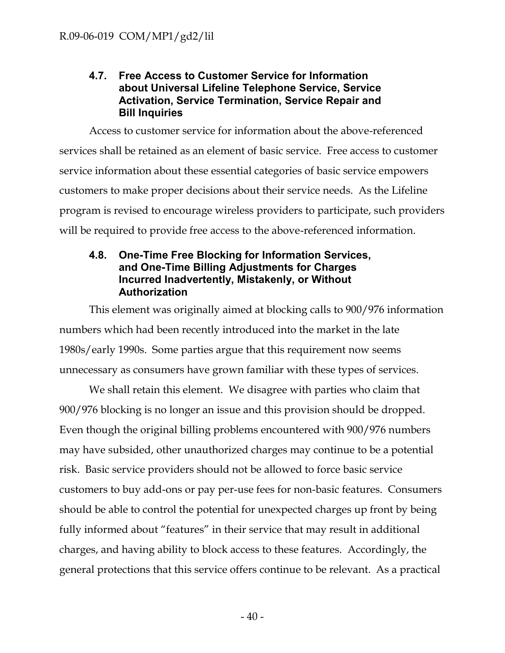## <span id="page-41-0"></span>**4.7. Free Access to Customer Service for Information about Universal Lifeline Telephone Service, Service Activation, Service Termination, Service Repair and Bill Inquiries**

Access to customer service for information about the above-referenced services shall be retained as an element of basic service. Free access to customer service information about these essential categories of basic service empowers customers to make proper decisions about their service needs. As the Lifeline program is revised to encourage wireless providers to participate, such providers will be required to provide free access to the above-referenced information.

## <span id="page-41-1"></span>**4.8. One-Time Free Blocking for Information Services, and One-Time Billing Adjustments for Charges Incurred Inadvertently, Mistakenly, or Without Authorization**

This element was originally aimed at blocking calls to 900/976 information numbers which had been recently introduced into the market in the late 1980s/early 1990s. Some parties argue that this requirement now seems unnecessary as consumers have grown familiar with these types of services.

We shall retain this element. We disagree with parties who claim that 900/976 blocking is no longer an issue and this provision should be dropped. Even though the original billing problems encountered with 900/976 numbers may have subsided, other unauthorized charges may continue to be a potential risk. Basic service providers should not be allowed to force basic service customers to buy add-ons or pay per-use fees for non-basic features. Consumers should be able to control the potential for unexpected charges up front by being fully informed about "features" in their service that may result in additional charges, and having ability to block access to these features. Accordingly, the general protections that this service offers continue to be relevant. As a practical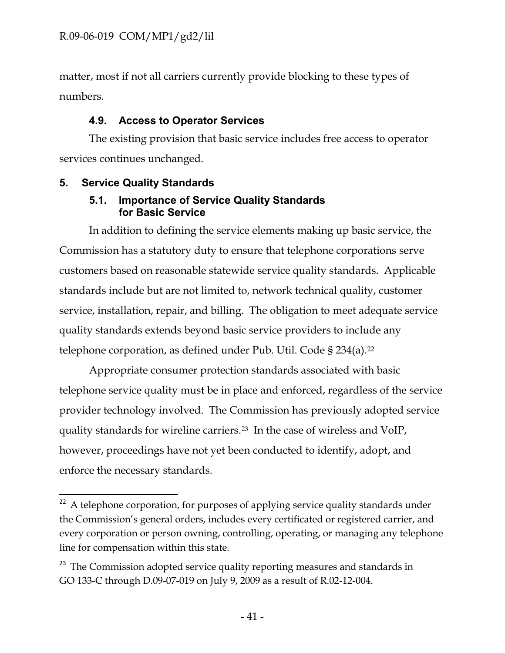matter, most if not all carriers currently provide blocking to these types of numbers.

## <span id="page-42-0"></span>**4.9. Access to Operator Services**

The existing provision that basic service includes free access to operator services continues unchanged.

# <span id="page-42-2"></span><span id="page-42-1"></span>**5. Service Quality Standards**

## **5.1. Importance of Service Quality Standards for Basic Service**

In addition to defining the service elements making up basic service, the Commission has a statutory duty to ensure that telephone corporations serve customers based on reasonable statewide service quality standards. Applicable standards include but are not limited to, network technical quality, customer service, installation, repair, and billing. The obligation to meet adequate service quality standards extends beyond basic service providers to include any telephone corporation, as defined under Pub. Util. Code § 234(a).<sup>22</sup>

Appropriate consumer protection standards associated with basic telephone service quality must be in place and enforced, regardless of the service provider technology involved. The Commission has previously adopted service quality standards for wireline carriers.23 In the case of wireless and VoIP, however, proceedings have not yet been conducted to identify, adopt, and enforce the necessary standards.

 $\overline{a}$  $22$  A telephone corporation, for purposes of applying service quality standards under the Commission's general orders, includes every certificated or registered carrier, and every corporation or person owning, controlling, operating, or managing any telephone line for compensation within this state.

<sup>&</sup>lt;sup>23</sup> The Commission adopted service quality reporting measures and standards in GO 133-C through D.09-07-019 on July 9, 2009 as a result of R.02-12-004.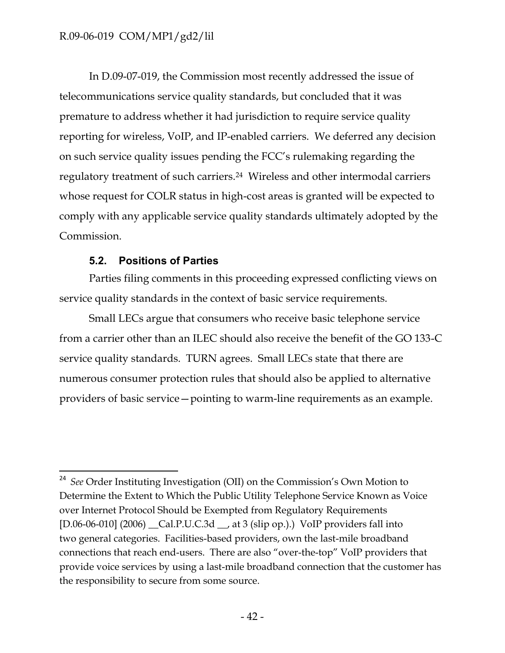In D.09-07-019, the Commission most recently addressed the issue of telecommunications service quality standards, but concluded that it was premature to address whether it had jurisdiction to require service quality reporting for wireless, VoIP, and IP-enabled carriers. We deferred any decision on such service quality issues pending the FCC's rulemaking regarding the regulatory treatment of such carriers.24 Wireless and other intermodal carriers whose request for COLR status in high-cost areas is granted will be expected to comply with any applicable service quality standards ultimately adopted by the Commission.

## **5.2. Positions of Parties**

<span id="page-43-0"></span>Parties filing comments in this proceeding expressed conflicting views on service quality standards in the context of basic service requirements.

Small LECs argue that consumers who receive basic telephone service from a carrier other than an ILEC should also receive the benefit of the GO 133-C service quality standards. TURN agrees. Small LECs state that there are numerous consumer protection rules that should also be applied to alternative providers of basic service—pointing to warm-line requirements as an example.

 $\overline{\phantom{a}}$ <sup>24</sup> See Order Instituting Investigation (OII) on the Commission's Own Motion to Determine the Extent to Which the Public Utility Telephone Service Known as Voice over Internet Protocol Should be Exempted from Regulatory Requirements [D.06-06-010] (2006) \_\_Cal.P.U.C.3d \_\_, at 3 (slip op.).) VoIP providers fall into two general categories. Facilities-based providers, own the last-mile broadband connections that reach end-users. There are also "over-the-top" VoIP providers that provide voice services by using a last-mile broadband connection that the customer has the responsibility to secure from some source.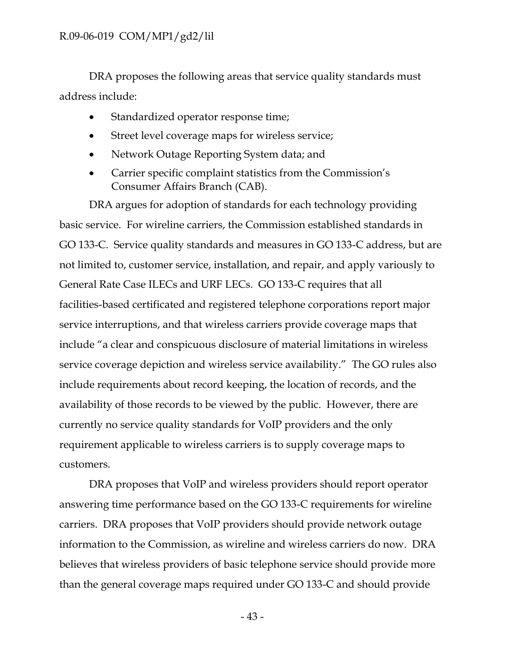DRA proposes the following areas that service quality standards must address include:

- Standardized operator response time;
- Street level coverage maps for wireless service;
- Network Outage Reporting System data; and
- Carrier specific complaint statistics from the Commission's Consumer Affairs Branch (CAB).

DRA argues for adoption of standards for each technology providing basic service. For wireline carriers, the Commission established standards in GO 133-C. Service quality standards and measures in GO 133-C address, but are not limited to, customer service, installation, and repair, and apply variously to General Rate Case ILECs and URF LECs. GO 133-C requires that all facilities-based certificated and registered telephone corporations report major service interruptions, and that wireless carriers provide coverage maps that include "a clear and conspicuous disclosure of material limitations in wireless service coverage depiction and wireless service availability." The GO rules also include requirements about record keeping, the location of records, and the availability of those records to be viewed by the public. However, there are currently no service quality standards for VoIP providers and the only requirement applicable to wireless carriers is to supply coverage maps to customers.

DRA proposes that VoIP and wireless providers should report operator answering time performance based on the GO 133-C requirements for wireline carriers. DRA proposes that VoIP providers should provide network outage information to the Commission, as wireline and wireless carriers do now. DRA believes that wireless providers of basic telephone service should provide more than the general coverage maps required under GO 133-C and should provide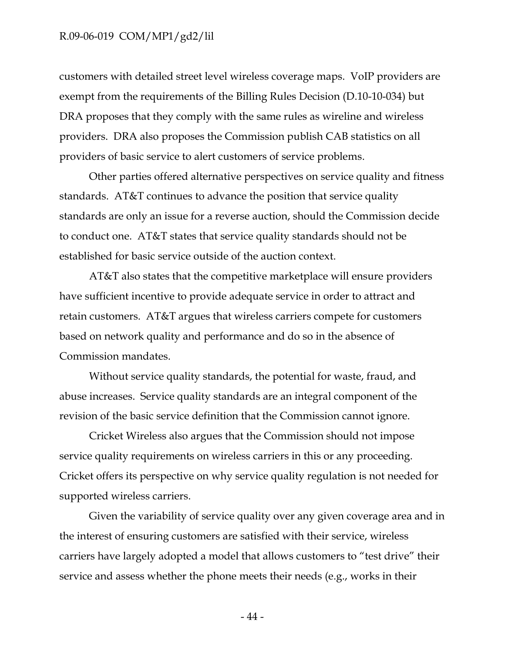customers with detailed street level wireless coverage maps. VoIP providers are exempt from the requirements of the Billing Rules Decision (D.10-10-034) but DRA proposes that they comply with the same rules as wireline and wireless providers. DRA also proposes the Commission publish CAB statistics on all providers of basic service to alert customers of service problems.

Other parties offered alternative perspectives on service quality and fitness standards. AT&T continues to advance the position that service quality standards are only an issue for a reverse auction, should the Commission decide to conduct one. AT&T states that service quality standards should not be established for basic service outside of the auction context.

AT&T also states that the competitive marketplace will ensure providers have sufficient incentive to provide adequate service in order to attract and retain customers. AT&T argues that wireless carriers compete for customers based on network quality and performance and do so in the absence of Commission mandates.

Without service quality standards, the potential for waste, fraud, and abuse increases. Service quality standards are an integral component of the revision of the basic service definition that the Commission cannot ignore.

Cricket Wireless also argues that the Commission should not impose service quality requirements on wireless carriers in this or any proceeding. Cricket offers its perspective on why service quality regulation is not needed for supported wireless carriers.

Given the variability of service quality over any given coverage area and in the interest of ensuring customers are satisfied with their service, wireless carriers have largely adopted a model that allows customers to "test drive" their service and assess whether the phone meets their needs (e.g., works in their

- 44 -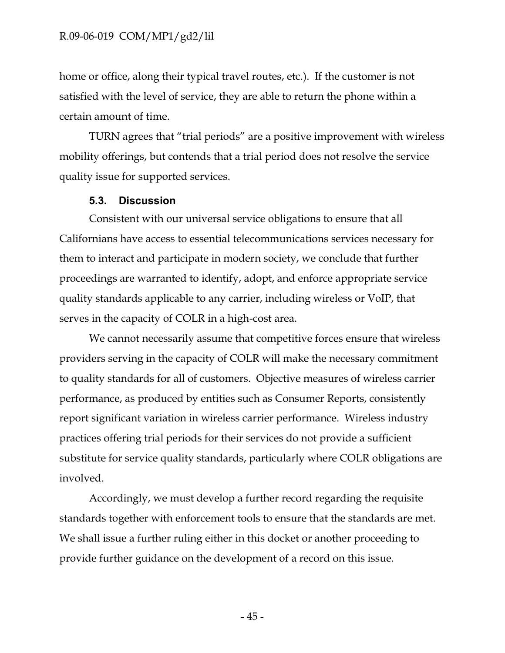home or office, along their typical travel routes, etc.). If the customer is not satisfied with the level of service, they are able to return the phone within a certain amount of time.

TURN agrees that "trial periods" are a positive improvement with wireless mobility offerings, but contends that a trial period does not resolve the service quality issue for supported services.

#### **5.3. Discussion**

<span id="page-46-0"></span>Consistent with our universal service obligations to ensure that all Californians have access to essential telecommunications services necessary for them to interact and participate in modern society, we conclude that further proceedings are warranted to identify, adopt, and enforce appropriate service quality standards applicable to any carrier, including wireless or VoIP, that serves in the capacity of COLR in a high-cost area.

We cannot necessarily assume that competitive forces ensure that wireless providers serving in the capacity of COLR will make the necessary commitment to quality standards for all of customers. Objective measures of wireless carrier performance, as produced by entities such as Consumer Reports, consistently report significant variation in wireless carrier performance. Wireless industry practices offering trial periods for their services do not provide a sufficient substitute for service quality standards, particularly where COLR obligations are involved.

Accordingly, we must develop a further record regarding the requisite standards together with enforcement tools to ensure that the standards are met. We shall issue a further ruling either in this docket or another proceeding to provide further guidance on the development of a record on this issue.

- 45 -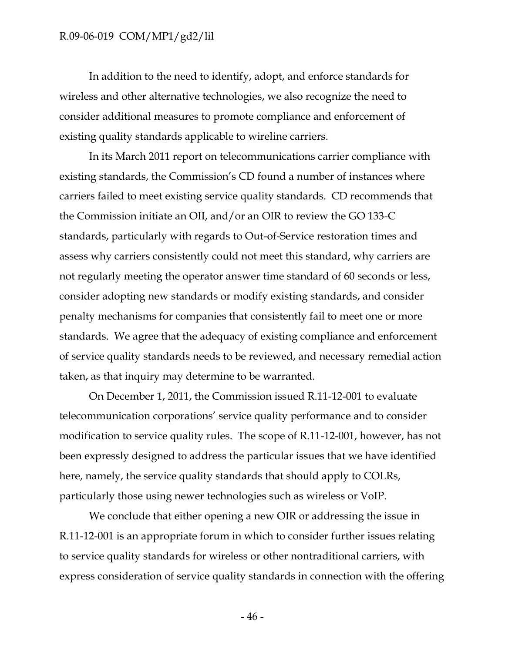In addition to the need to identify, adopt, and enforce standards for wireless and other alternative technologies, we also recognize the need to consider additional measures to promote compliance and enforcement of existing quality standards applicable to wireline carriers.

In its March 2011 report on telecommunications carrier compliance with existing standards, the Commission's CD found a number of instances where carriers failed to meet existing service quality standards. CD recommends that the Commission initiate an OII, and/or an OIR to review the GO 133-C standards, particularly with regards to Out-of-Service restoration times and assess why carriers consistently could not meet this standard, why carriers are not regularly meeting the operator answer time standard of 60 seconds or less, consider adopting new standards or modify existing standards, and consider penalty mechanisms for companies that consistently fail to meet one or more standards. We agree that the adequacy of existing compliance and enforcement of service quality standards needs to be reviewed, and necessary remedial action taken, as that inquiry may determine to be warranted.

On December 1, 2011, the Commission issued R.11-12-001 to evaluate telecommunication corporations' service quality performance and to consider modification to service quality rules. The scope of R.11-12-001, however, has not been expressly designed to address the particular issues that we have identified here, namely, the service quality standards that should apply to COLRs, particularly those using newer technologies such as wireless or VoIP.

We conclude that either opening a new OIR or addressing the issue in R.11-12-001 is an appropriate forum in which to consider further issues relating to service quality standards for wireless or other nontraditional carriers, with express consideration of service quality standards in connection with the offering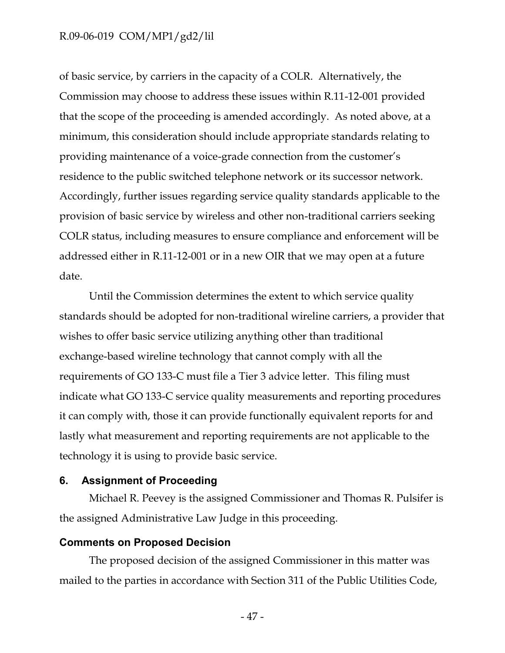of basic service, by carriers in the capacity of a COLR. Alternatively, the Commission may choose to address these issues within R.11-12-001 provided that the scope of the proceeding is amended accordingly. As noted above, at a minimum, this consideration should include appropriate standards relating to providing maintenance of a voice-grade connection from the customer's residence to the public switched telephone network or its successor network. Accordingly, further issues regarding service quality standards applicable to the provision of basic service by wireless and other non-traditional carriers seeking COLR status, including measures to ensure compliance and enforcement will be addressed either in R.11-12-001 or in a new OIR that we may open at a future date.

Until the Commission determines the extent to which service quality standards should be adopted for non-traditional wireline carriers, a provider that wishes to offer basic service utilizing anything other than traditional exchange-based wireline technology that cannot comply with all the requirements of GO 133-C must file a Tier 3 advice letter. This filing must indicate what GO 133-C service quality measurements and reporting procedures it can comply with, those it can provide functionally equivalent reports for and lastly what measurement and reporting requirements are not applicable to the technology it is using to provide basic service.

#### <span id="page-48-0"></span>**6. Assignment of Proceeding**

Michael R. Peevey is the assigned Commissioner and Thomas R. Pulsifer is the assigned Administrative Law Judge in this proceeding.

#### <span id="page-48-1"></span>**Comments on Proposed Decision**

The proposed decision of the assigned Commissioner in this matter was mailed to the parties in accordance with Section 311 of the Public Utilities Code,

- 47 -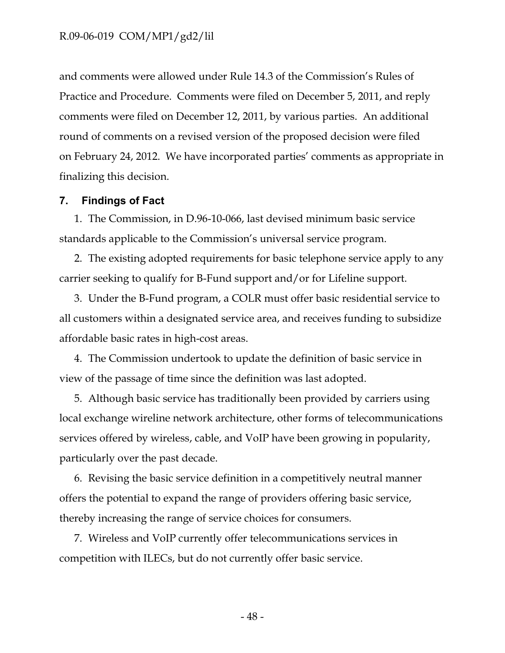and comments were allowed under Rule 14.3 of the Commission's Rules of Practice and Procedure. Comments were filed on December 5, 2011, and reply comments were filed on December 12, 2011, by various parties. An additional round of comments on a revised version of the proposed decision were filed on February 24, 2012. We have incorporated parties' comments as appropriate in finalizing this decision.

#### <span id="page-49-0"></span>**7. Findings of Fact**

1. The Commission, in D.96-10-066, last devised minimum basic service standards applicable to the Commission's universal service program.

2. The existing adopted requirements for basic telephone service apply to any carrier seeking to qualify for B-Fund support and/or for Lifeline support.

3. Under the B-Fund program, a COLR must offer basic residential service to all customers within a designated service area, and receives funding to subsidize affordable basic rates in high-cost areas.

4. The Commission undertook to update the definition of basic service in view of the passage of time since the definition was last adopted.

5. Although basic service has traditionally been provided by carriers using local exchange wireline network architecture, other forms of telecommunications services offered by wireless, cable, and VoIP have been growing in popularity, particularly over the past decade.

6. Revising the basic service definition in a competitively neutral manner offers the potential to expand the range of providers offering basic service, thereby increasing the range of service choices for consumers.

7. Wireless and VoIP currently offer telecommunications services in competition with ILECs, but do not currently offer basic service.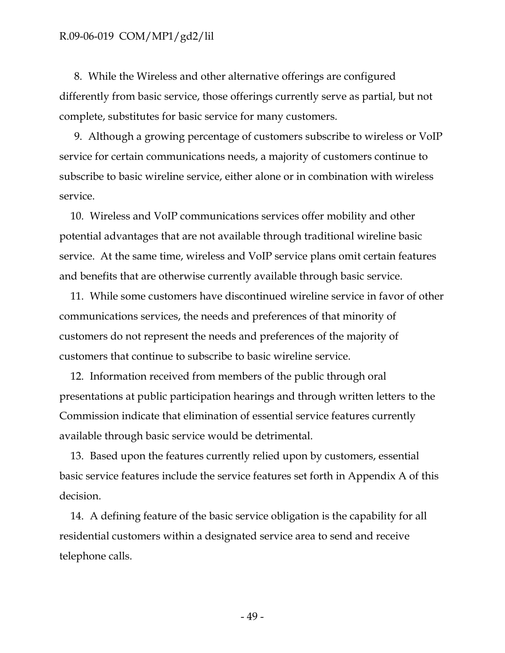8. While the Wireless and other alternative offerings are configured differently from basic service, those offerings currently serve as partial, but not complete, substitutes for basic service for many customers.

9. Although a growing percentage of customers subscribe to wireless or VoIP service for certain communications needs, a majority of customers continue to subscribe to basic wireline service, either alone or in combination with wireless service.

10. Wireless and VoIP communications services offer mobility and other potential advantages that are not available through traditional wireline basic service. At the same time, wireless and VoIP service plans omit certain features and benefits that are otherwise currently available through basic service.

11. While some customers have discontinued wireline service in favor of other communications services, the needs and preferences of that minority of customers do not represent the needs and preferences of the majority of customers that continue to subscribe to basic wireline service.

12. Information received from members of the public through oral presentations at public participation hearings and through written letters to the Commission indicate that elimination of essential service features currently available through basic service would be detrimental.

13. Based upon the features currently relied upon by customers, essential basic service features include the service features set forth in Appendix A of this decision.

14. A defining feature of the basic service obligation is the capability for all residential customers within a designated service area to send and receive telephone calls.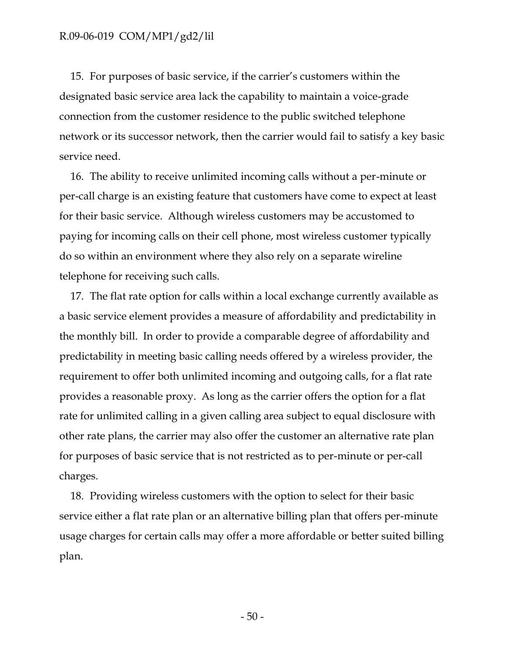15. For purposes of basic service, if the carrier's customers within the designated basic service area lack the capability to maintain a voice-grade connection from the customer residence to the public switched telephone network or its successor network, then the carrier would fail to satisfy a key basic service need.

16. The ability to receive unlimited incoming calls without a per-minute or per-call charge is an existing feature that customers have come to expect at least for their basic service. Although wireless customers may be accustomed to paying for incoming calls on their cell phone, most wireless customer typically do so within an environment where they also rely on a separate wireline telephone for receiving such calls.

17. The flat rate option for calls within a local exchange currently available as a basic service element provides a measure of affordability and predictability in the monthly bill. In order to provide a comparable degree of affordability and predictability in meeting basic calling needs offered by a wireless provider, the requirement to offer both unlimited incoming and outgoing calls, for a flat rate provides a reasonable proxy. As long as the carrier offers the option for a flat rate for unlimited calling in a given calling area subject to equal disclosure with other rate plans, the carrier may also offer the customer an alternative rate plan for purposes of basic service that is not restricted as to per-minute or per-call charges.

18. Providing wireless customers with the option to select for their basic service either a flat rate plan or an alternative billing plan that offers per-minute usage charges for certain calls may offer a more affordable or better suited billing plan.

- 50 -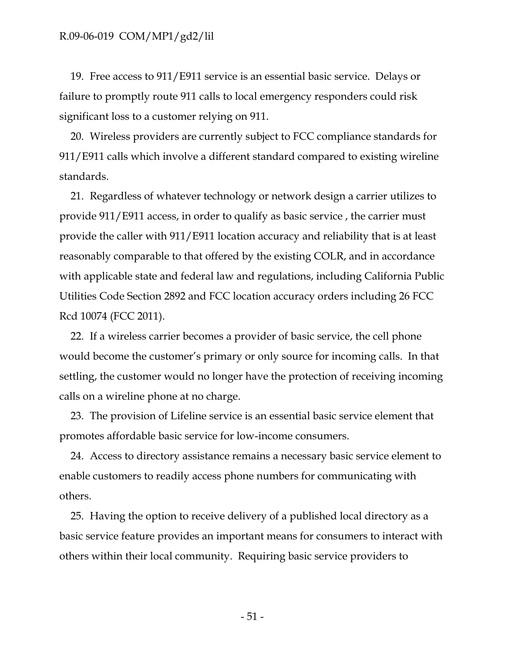19. Free access to 911/E911 service is an essential basic service. Delays or failure to promptly route 911 calls to local emergency responders could risk significant loss to a customer relying on 911.

20. Wireless providers are currently subject to FCC compliance standards for 911/E911 calls which involve a different standard compared to existing wireline standards.

21. Regardless of whatever technology or network design a carrier utilizes to provide 911/E911 access, in order to qualify as basic service , the carrier must provide the caller with 911/E911 location accuracy and reliability that is at least reasonably comparable to that offered by the existing COLR, and in accordance with applicable state and federal law and regulations, including California Public Utilities Code Section 2892 and FCC location accuracy orders including 26 FCC Rcd 10074 (FCC 2011).

22. If a wireless carrier becomes a provider of basic service, the cell phone would become the customer's primary or only source for incoming calls. In that settling, the customer would no longer have the protection of receiving incoming calls on a wireline phone at no charge.

23. The provision of Lifeline service is an essential basic service element that promotes affordable basic service for low-income consumers.

24. Access to directory assistance remains a necessary basic service element to enable customers to readily access phone numbers for communicating with others.

25. Having the option to receive delivery of a published local directory as a basic service feature provides an important means for consumers to interact with others within their local community. Requiring basic service providers to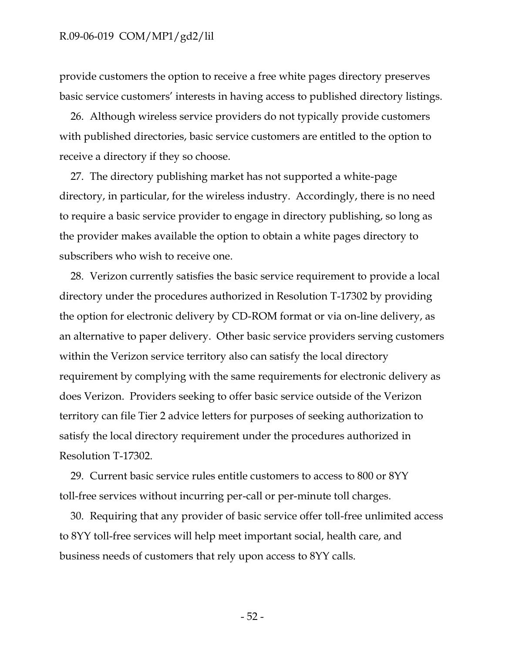provide customers the option to receive a free white pages directory preserves basic service customers' interests in having access to published directory listings.

26. Although wireless service providers do not typically provide customers with published directories, basic service customers are entitled to the option to receive a directory if they so choose.

27. The directory publishing market has not supported a white-page directory, in particular, for the wireless industry. Accordingly, there is no need to require a basic service provider to engage in directory publishing, so long as the provider makes available the option to obtain a white pages directory to subscribers who wish to receive one.

28. Verizon currently satisfies the basic service requirement to provide a local directory under the procedures authorized in Resolution T-17302 by providing the option for electronic delivery by CD-ROM format or via on-line delivery, as an alternative to paper delivery. Other basic service providers serving customers within the Verizon service territory also can satisfy the local directory requirement by complying with the same requirements for electronic delivery as does Verizon. Providers seeking to offer basic service outside of the Verizon territory can file Tier 2 advice letters for purposes of seeking authorization to satisfy the local directory requirement under the procedures authorized in Resolution T-17302.

29. Current basic service rules entitle customers to access to 800 or 8YY toll-free services without incurring per-call or per-minute toll charges.

30. Requiring that any provider of basic service offer toll-free unlimited access to 8YY toll-free services will help meet important social, health care, and business needs of customers that rely upon access to 8YY calls.

- 52 -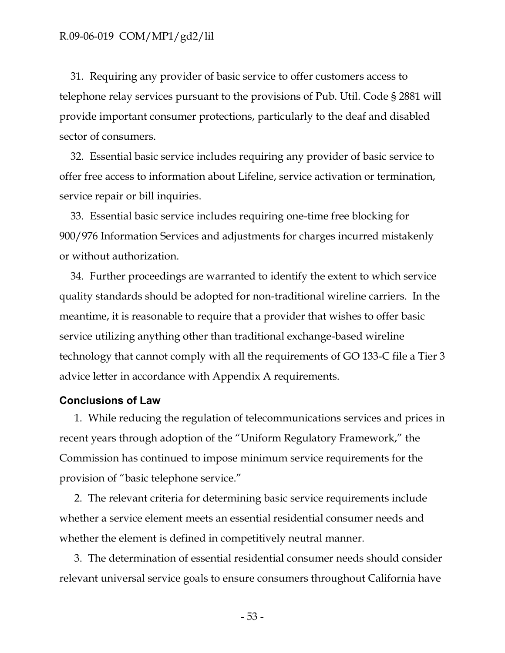31. Requiring any provider of basic service to offer customers access to telephone relay services pursuant to the provisions of Pub. Util. Code § 2881 will provide important consumer protections, particularly to the deaf and disabled sector of consumers.

32. Essential basic service includes requiring any provider of basic service to offer free access to information about Lifeline, service activation or termination, service repair or bill inquiries.

33. Essential basic service includes requiring one-time free blocking for 900/976 Information Services and adjustments for charges incurred mistakenly or without authorization.

34. Further proceedings are warranted to identify the extent to which service quality standards should be adopted for non-traditional wireline carriers. In the meantime, it is reasonable to require that a provider that wishes to offer basic service utilizing anything other than traditional exchange-based wireline technology that cannot comply with all the requirements of GO 133-C file a Tier 3 advice letter in accordance with Appendix A requirements.

#### <span id="page-54-0"></span>**Conclusions of Law**

1. While reducing the regulation of telecommunications services and prices in recent years through adoption of the "Uniform Regulatory Framework," the Commission has continued to impose minimum service requirements for the provision of "basic telephone service."

2. The relevant criteria for determining basic service requirements include whether a service element meets an essential residential consumer needs and whether the element is defined in competitively neutral manner.

3. The determination of essential residential consumer needs should consider relevant universal service goals to ensure consumers throughout California have

- 53 -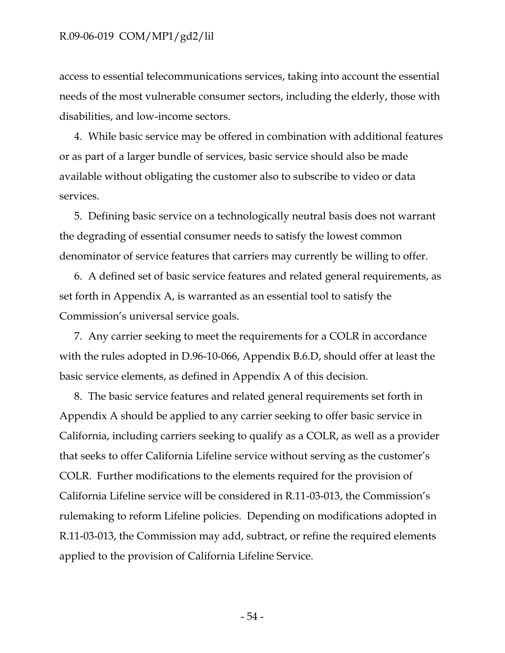access to essential telecommunications services, taking into account the essential needs of the most vulnerable consumer sectors, including the elderly, those with disabilities, and low-income sectors.

4. While basic service may be offered in combination with additional features or as part of a larger bundle of services, basic service should also be made available without obligating the customer also to subscribe to video or data services.

5. Defining basic service on a technologically neutral basis does not warrant the degrading of essential consumer needs to satisfy the lowest common denominator of service features that carriers may currently be willing to offer.

6. A defined set of basic service features and related general requirements, as set forth in Appendix A, is warranted as an essential tool to satisfy the Commission's universal service goals.

7. Any carrier seeking to meet the requirements for a COLR in accordance with the rules adopted in D.96-10-066, Appendix B.6.D, should offer at least the basic service elements, as defined in Appendix A of this decision.

8. The basic service features and related general requirements set forth in Appendix A should be applied to any carrier seeking to offer basic service in California, including carriers seeking to qualify as a COLR, as well as a provider that seeks to offer California Lifeline service without serving as the customer's COLR. Further modifications to the elements required for the provision of California Lifeline service will be considered in R.11-03-013, the Commission's rulemaking to reform Lifeline policies. Depending on modifications adopted in R.11-03-013, the Commission may add, subtract, or refine the required elements applied to the provision of California Lifeline Service.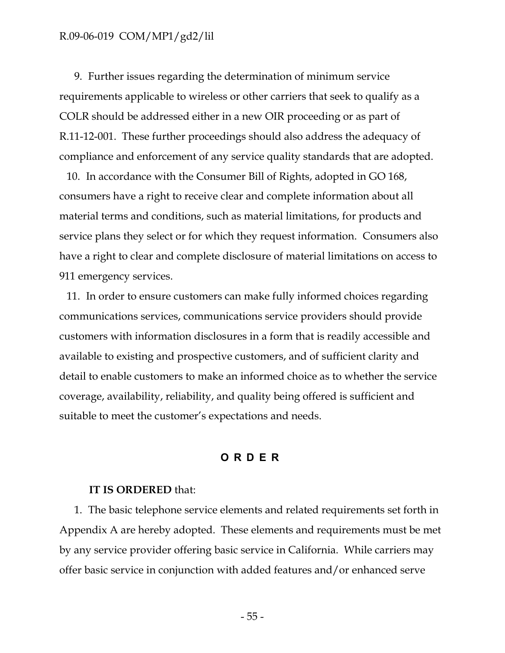9. Further issues regarding the determination of minimum service requirements applicable to wireless or other carriers that seek to qualify as a COLR should be addressed either in a new OIR proceeding or as part of R.11-12-001. These further proceedings should also address the adequacy of compliance and enforcement of any service quality standards that are adopted.

10. In accordance with the Consumer Bill of Rights, adopted in GO 168, consumers have a right to receive clear and complete information about all material terms and conditions, such as material limitations, for products and service plans they select or for which they request information. Consumers also have a right to clear and complete disclosure of material limitations on access to 911 emergency services.

11. In order to ensure customers can make fully informed choices regarding communications services, communications service providers should provide customers with information disclosures in a form that is readily accessible and available to existing and prospective customers, and of sufficient clarity and detail to enable customers to make an informed choice as to whether the service coverage, availability, reliability, and quality being offered is sufficient and suitable to meet the customer's expectations and needs.

#### **ORDER**

#### <span id="page-56-0"></span>**IT IS ORDERED** that:

1. The basic telephone service elements and related requirements set forth in Appendix A are hereby adopted. These elements and requirements must be met by any service provider offering basic service in California. While carriers may offer basic service in conjunction with added features and/or enhanced serve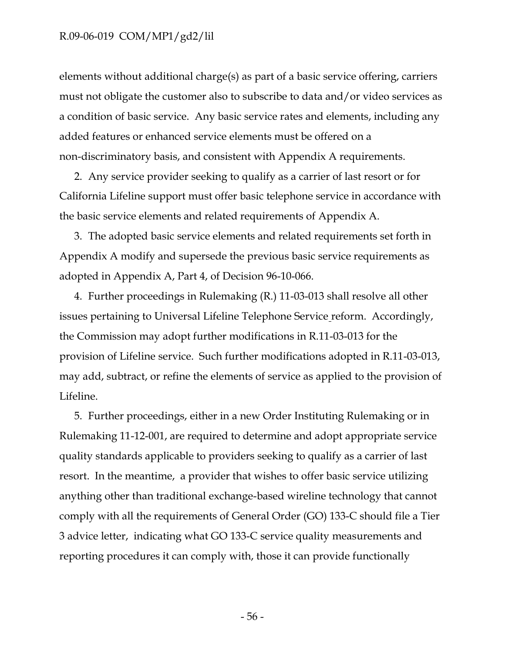elements without additional charge(s) as part of a basic service offering, carriers must not obligate the customer also to subscribe to data and/or video services as a condition of basic service. Any basic service rates and elements, including any added features or enhanced service elements must be offered on a non-discriminatory basis, and consistent with Appendix A requirements.

2. Any service provider seeking to qualify as a carrier of last resort or for California Lifeline support must offer basic telephone service in accordance with the basic service elements and related requirements of Appendix A.

3. The adopted basic service elements and related requirements set forth in Appendix A modify and supersede the previous basic service requirements as adopted in Appendix A, Part 4, of Decision 96-10-066.

4. Further proceedings in Rulemaking (R.) 11-03-013 shall resolve all other issues pertaining to Universal Lifeline Telephone Service reform. Accordingly, the Commission may adopt further modifications in R.11-03-013 for the provision of Lifeline service. Such further modifications adopted in R.11-03-013, may add, subtract, or refine the elements of service as applied to the provision of Lifeline.

5. Further proceedings, either in a new Order Instituting Rulemaking or in Rulemaking 11-12-001, are required to determine and adopt appropriate service quality standards applicable to providers seeking to qualify as a carrier of last resort. In the meantime, a provider that wishes to offer basic service utilizing anything other than traditional exchange-based wireline technology that cannot comply with all the requirements of General Order (GO) 133-C should file a Tier 3 advice letter, indicating what GO 133-C service quality measurements and reporting procedures it can comply with, those it can provide functionally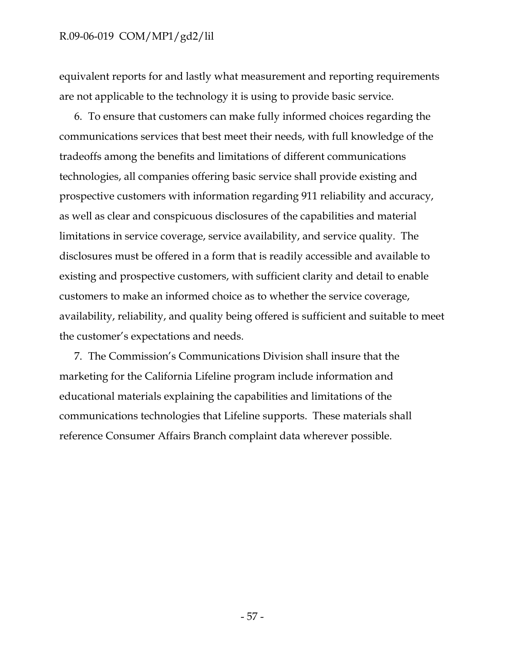equivalent reports for and lastly what measurement and reporting requirements are not applicable to the technology it is using to provide basic service.

6. To ensure that customers can make fully informed choices regarding the communications services that best meet their needs, with full knowledge of the tradeoffs among the benefits and limitations of different communications technologies, all companies offering basic service shall provide existing and prospective customers with information regarding 911 reliability and accuracy, as well as clear and conspicuous disclosures of the capabilities and material limitations in service coverage, service availability, and service quality. The disclosures must be offered in a form that is readily accessible and available to existing and prospective customers, with sufficient clarity and detail to enable customers to make an informed choice as to whether the service coverage, availability, reliability, and quality being offered is sufficient and suitable to meet the customer's expectations and needs.

7. The Commission's Communications Division shall insure that the marketing for the California Lifeline program include information and educational materials explaining the capabilities and limitations of the communications technologies that Lifeline supports. These materials shall reference Consumer Affairs Branch complaint data wherever possible.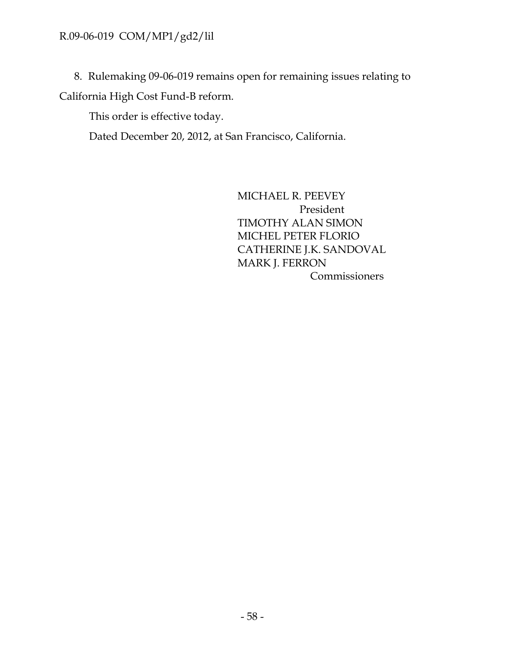8. Rulemaking 09-06-019 remains open for remaining issues relating to

California High Cost Fund-B reform.

This order is effective today.

Dated December 20, 2012, at San Francisco, California.

MICHAEL R. PEEVEY President TIMOTHY ALAN SIMON MICHEL PETER FLORIO CATHERINE J.K. SANDOVAL MARK J. FERRON Commissioners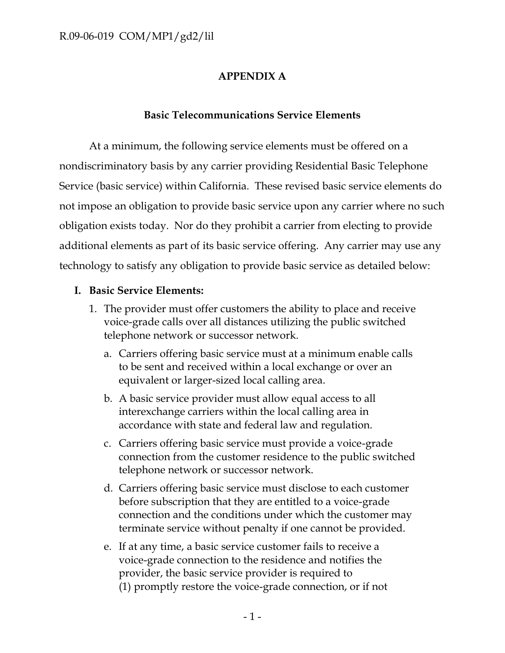# **APPENDIX A**

## **Basic Telecommunications Service Elements**

At a minimum, the following service elements must be offered on a nondiscriminatory basis by any carrier providing Residential Basic Telephone Service (basic service) within California. These revised basic service elements do not impose an obligation to provide basic service upon any carrier where no such obligation exists today. Nor do they prohibit a carrier from electing to provide additional elements as part of its basic service offering. Any carrier may use any technology to satisfy any obligation to provide basic service as detailed below:

## **I. Basic Service Elements:**

- 1. The provider must offer customers the ability to place and receive voice-grade calls over all distances utilizing the public switched telephone network or successor network.
	- a. Carriers offering basic service must at a minimum enable calls to be sent and received within a local exchange or over an equivalent or larger-sized local calling area.
	- b. A basic service provider must allow equal access to all interexchange carriers within the local calling area in accordance with state and federal law and regulation.
	- c. Carriers offering basic service must provide a voice-grade connection from the customer residence to the public switched telephone network or successor network.
	- d. Carriers offering basic service must disclose to each customer before subscription that they are entitled to a voice-grade connection and the conditions under which the customer may terminate service without penalty if one cannot be provided.
	- e. If at any time, a basic service customer fails to receive a voice-grade connection to the residence and notifies the provider, the basic service provider is required to (1) promptly restore the voice-grade connection, or if not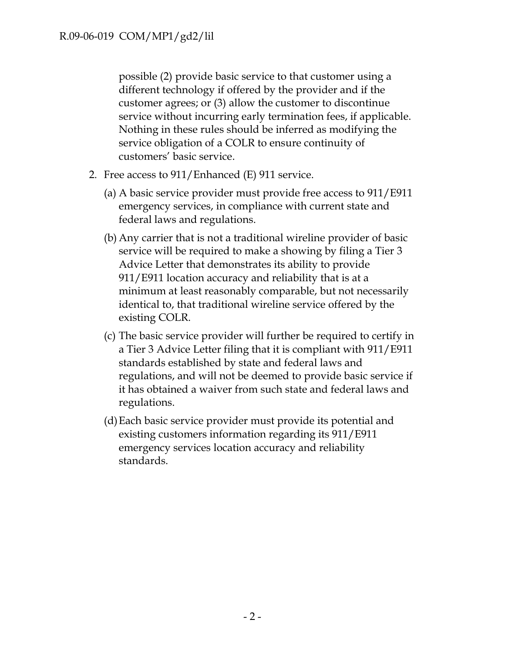possible (2) provide basic service to that customer using a different technology if offered by the provider and if the customer agrees; or (3) allow the customer to discontinue service without incurring early termination fees, if applicable. Nothing in these rules should be inferred as modifying the service obligation of a COLR to ensure continuity of customers' basic service.

- 2. Free access to 911/Enhanced (E) 911 service.
	- (a) A basic service provider must provide free access to 911/E911 emergency services, in compliance with current state and federal laws and regulations.
	- (b) Any carrier that is not a traditional wireline provider of basic service will be required to make a showing by filing a Tier 3 Advice Letter that demonstrates its ability to provide 911/E911 location accuracy and reliability that is at a minimum at least reasonably comparable, but not necessarily identical to, that traditional wireline service offered by the existing COLR.
	- (c) The basic service provider will further be required to certify in a Tier 3 Advice Letter filing that it is compliant with 911/E911 standards established by state and federal laws and regulations, and will not be deemed to provide basic service if it has obtained a waiver from such state and federal laws and regulations.
	- (d)Each basic service provider must provide its potential and existing customers information regarding its 911/E911 emergency services location accuracy and reliability standards.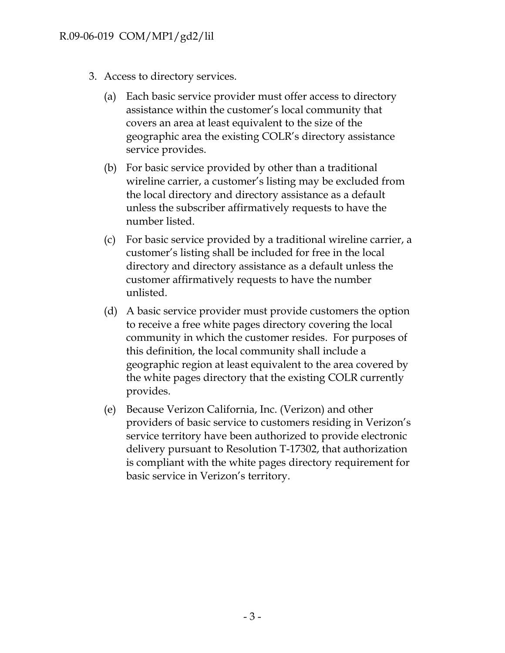- 3. Access to directory services.
	- (a) Each basic service provider must offer access to directory assistance within the customer's local community that covers an area at least equivalent to the size of the geographic area the existing COLR's directory assistance service provides.
	- (b) For basic service provided by other than a traditional wireline carrier, a customer's listing may be excluded from the local directory and directory assistance as a default unless the subscriber affirmatively requests to have the number listed.
	- (c) For basic service provided by a traditional wireline carrier, a customer's listing shall be included for free in the local directory and directory assistance as a default unless the customer affirmatively requests to have the number unlisted.
	- (d) A basic service provider must provide customers the option to receive a free white pages directory covering the local community in which the customer resides. For purposes of this definition, the local community shall include a geographic region at least equivalent to the area covered by the white pages directory that the existing COLR currently provides.
	- (e) Because Verizon California, Inc. (Verizon) and other providers of basic service to customers residing in Verizon's service territory have been authorized to provide electronic delivery pursuant to Resolution T-17302, that authorization is compliant with the white pages directory requirement for basic service in Verizon's territory.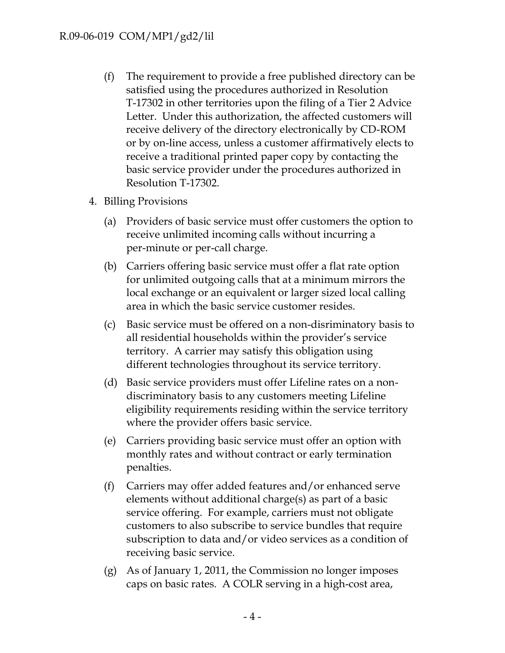- (f) The requirement to provide a free published directory can be satisfied using the procedures authorized in Resolution T-17302 in other territories upon the filing of a Tier 2 Advice Letter. Under this authorization, the affected customers will receive delivery of the directory electronically by CD-ROM or by on-line access, unless a customer affirmatively elects to receive a traditional printed paper copy by contacting the basic service provider under the procedures authorized in Resolution T-17302.
- 4. Billing Provisions
	- (a) Providers of basic service must offer customers the option to receive unlimited incoming calls without incurring a per-minute or per-call charge.
	- (b) Carriers offering basic service must offer a flat rate option for unlimited outgoing calls that at a minimum mirrors the local exchange or an equivalent or larger sized local calling area in which the basic service customer resides.
	- (c) Basic service must be offered on a non-disriminatory basis to all residential households within the provider's service territory. A carrier may satisfy this obligation using different technologies throughout its service territory.
	- (d) Basic service providers must offer Lifeline rates on a nondiscriminatory basis to any customers meeting Lifeline eligibility requirements residing within the service territory where the provider offers basic service.
	- (e) Carriers providing basic service must offer an option with monthly rates and without contract or early termination penalties.
	- (f) Carriers may offer added features and/or enhanced serve elements without additional charge(s) as part of a basic service offering. For example, carriers must not obligate customers to also subscribe to service bundles that require subscription to data and/or video services as a condition of receiving basic service.
	- (g) As of January 1, 2011, the Commission no longer imposes caps on basic rates. A COLR serving in a high-cost area,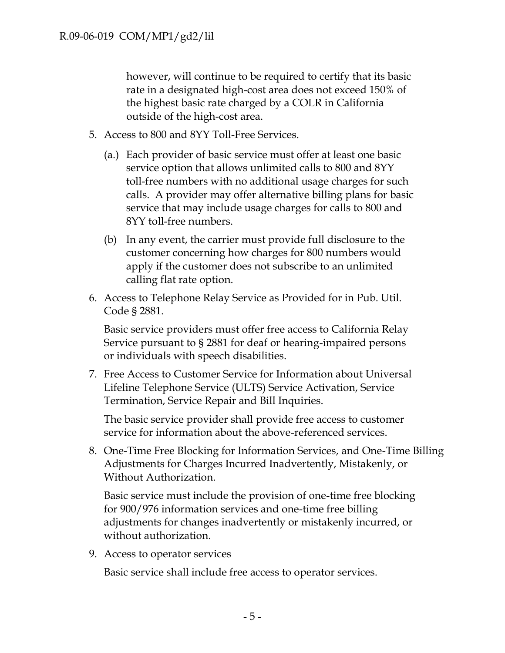however, will continue to be required to certify that its basic rate in a designated high-cost area does not exceed 150% of the highest basic rate charged by a COLR in California outside of the high-cost area.

- 5. Access to 800 and 8YY Toll-Free Services.
	- (a.) Each provider of basic service must offer at least one basic service option that allows unlimited calls to 800 and 8YY toll-free numbers with no additional usage charges for such calls. A provider may offer alternative billing plans for basic service that may include usage charges for calls to 800 and 8YY toll-free numbers.
	- (b) In any event, the carrier must provide full disclosure to the customer concerning how charges for 800 numbers would apply if the customer does not subscribe to an unlimited calling flat rate option.
- 6. Access to Telephone Relay Service as Provided for in Pub. Util. Code § 2881.

Basic service providers must offer free access to California Relay Service pursuant to § 2881 for deaf or hearing-impaired persons or individuals with speech disabilities.

7. Free Access to Customer Service for Information about Universal Lifeline Telephone Service (ULTS) Service Activation, Service Termination, Service Repair and Bill Inquiries.

The basic service provider shall provide free access to customer service for information about the above-referenced services.

8. One-Time Free Blocking for Information Services, and One-Time Billing Adjustments for Charges Incurred Inadvertently, Mistakenly, or Without Authorization.

Basic service must include the provision of one-time free blocking for 900/976 information services and one-time free billing adjustments for changes inadvertently or mistakenly incurred, or without authorization.

9. Access to operator services

Basic service shall include free access to operator services.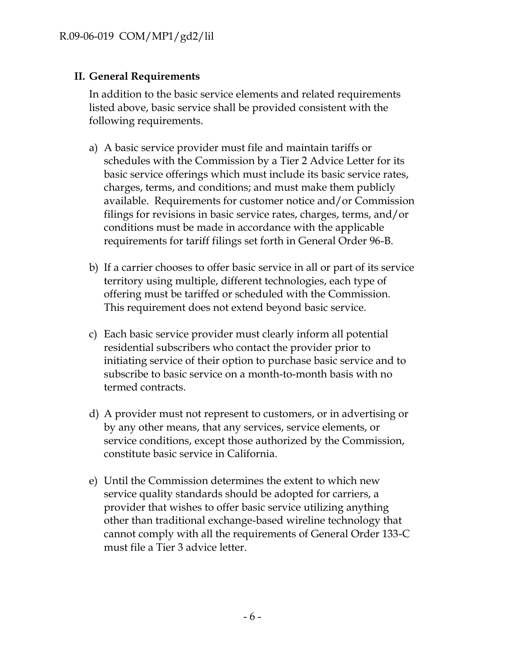## **II. General Requirements**

In addition to the basic service elements and related requirements listed above, basic service shall be provided consistent with the following requirements.

- a) A basic service provider must file and maintain tariffs or schedules with the Commission by a Tier 2 Advice Letter for its basic service offerings which must include its basic service rates, charges, terms, and conditions; and must make them publicly available. Requirements for customer notice and/or Commission filings for revisions in basic service rates, charges, terms, and/or conditions must be made in accordance with the applicable requirements for tariff filings set forth in General Order 96-B.
- b) If a carrier chooses to offer basic service in all or part of its service territory using multiple, different technologies, each type of offering must be tariffed or scheduled with the Commission. This requirement does not extend beyond basic service.
- c) Each basic service provider must clearly inform all potential residential subscribers who contact the provider prior to initiating service of their option to purchase basic service and to subscribe to basic service on a month-to-month basis with no termed contracts.
- d) A provider must not represent to customers, or in advertising or by any other means, that any services, service elements, or service conditions, except those authorized by the Commission, constitute basic service in California.
- e) Until the Commission determines the extent to which new service quality standards should be adopted for carriers, a provider that wishes to offer basic service utilizing anything other than traditional exchange-based wireline technology that cannot comply with all the requirements of General Order 133-C must file a Tier 3 advice letter.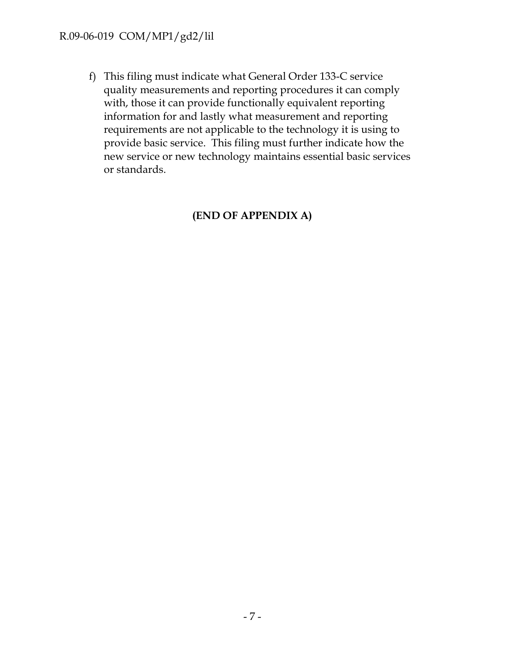f) This filing must indicate what General Order 133-C service quality measurements and reporting procedures it can comply with, those it can provide functionally equivalent reporting information for and lastly what measurement and reporting requirements are not applicable to the technology it is using to provide basic service. This filing must further indicate how the new service or new technology maintains essential basic services or standards.

# **(END OF APPENDIX A)**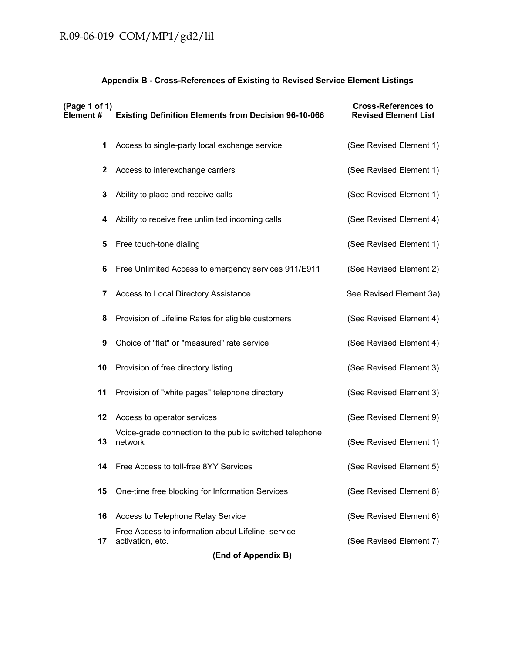## **Appendix B - Cross-References of Existing to Revised Service Element Listings**

| (Page 1 of 1)<br>Element# | <b>Existing Definition Elements from Decision 96-10-066</b>            | <b>Cross-References to</b><br><b>Revised Element List</b> |  |  |  |
|---------------------------|------------------------------------------------------------------------|-----------------------------------------------------------|--|--|--|
| 1                         | Access to single-party local exchange service                          | (See Revised Element 1)                                   |  |  |  |
| $\mathbf{2}$              | Access to interexchange carriers                                       | (See Revised Element 1)                                   |  |  |  |
| 3                         | Ability to place and receive calls                                     | (See Revised Element 1)                                   |  |  |  |
| 4                         | Ability to receive free unlimited incoming calls                       | (See Revised Element 4)                                   |  |  |  |
| 5                         | Free touch-tone dialing                                                | (See Revised Element 1)                                   |  |  |  |
| 6                         | Free Unlimited Access to emergency services 911/E911                   | (See Revised Element 2)                                   |  |  |  |
| 7                         | Access to Local Directory Assistance                                   | See Revised Element 3a)                                   |  |  |  |
| 8                         | Provision of Lifeline Rates for eligible customers                     | (See Revised Element 4)                                   |  |  |  |
| 9                         | Choice of "flat" or "measured" rate service                            | (See Revised Element 4)                                   |  |  |  |
| 10                        | Provision of free directory listing                                    | (See Revised Element 3)                                   |  |  |  |
| 11                        | Provision of "white pages" telephone directory                         | (See Revised Element 3)                                   |  |  |  |
| 12                        | Access to operator services                                            | (See Revised Element 9)                                   |  |  |  |
| 13                        | Voice-grade connection to the public switched telephone<br>network     | (See Revised Element 1)                                   |  |  |  |
| 14                        | Free Access to toll-free 8YY Services                                  | (See Revised Element 5)                                   |  |  |  |
| 15                        | One-time free blocking for Information Services                        | (See Revised Element 8)                                   |  |  |  |
| 16                        | Access to Telephone Relay Service                                      | (See Revised Element 6)                                   |  |  |  |
| 17                        | Free Access to information about Lifeline, service<br>activation, etc. | (See Revised Element 7)                                   |  |  |  |
| (End of Appendix B)       |                                                                        |                                                           |  |  |  |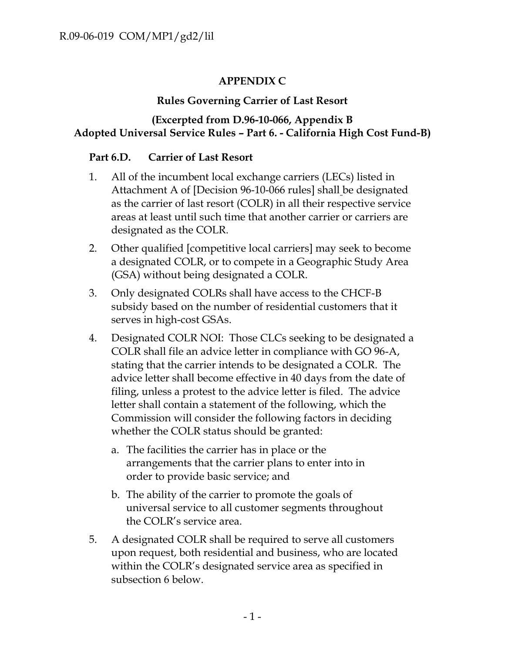# **APPENDIX C**

# **Rules Governing Carrier of Last Resort**

## **(Excerpted from D.96-10-066, Appendix B Adopted Universal Service Rules – Part 6. - California High Cost Fund-B)**

## **Part 6.D. Carrier of Last Resort**

- 1. All of the incumbent local exchange carriers (LECs) listed in Attachment A of [Decision 96-10-066 rules] shall be designated as the carrier of last resort (COLR) in all their respective service areas at least until such time that another carrier or carriers are designated as the COLR.
- 2. Other qualified [competitive local carriers] may seek to become a designated COLR, or to compete in a Geographic Study Area (GSA) without being designated a COLR.
- 3. Only designated COLRs shall have access to the CHCF-B subsidy based on the number of residential customers that it serves in high-cost GSAs.
- 4. Designated COLR NOI: Those CLCs seeking to be designated a COLR shall file an advice letter in compliance with GO 96-A, stating that the carrier intends to be designated a COLR. The advice letter shall become effective in 40 days from the date of filing, unless a protest to the advice letter is filed. The advice letter shall contain a statement of the following, which the Commission will consider the following factors in deciding whether the COLR status should be granted:
	- a. The facilities the carrier has in place or the arrangements that the carrier plans to enter into in order to provide basic service; and
	- b. The ability of the carrier to promote the goals of universal service to all customer segments throughout the COLR's service area.
- 5. A designated COLR shall be required to serve all customers upon request, both residential and business, who are located within the COLR's designated service area as specified in subsection 6 below.